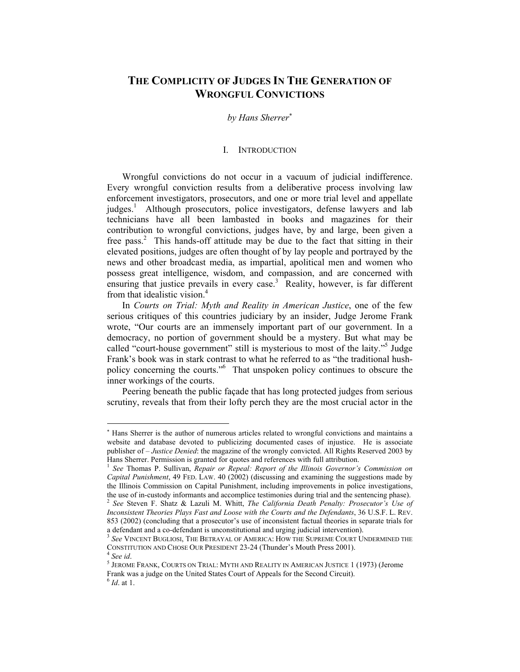# **THE COMPLICITY OF JUDGES IN THE GENERATION OF WRONGFUL CONVICTIONS**

#### *by Hans Sherrer*<sup>∗</sup>

### I. INTRODUCTION

Wrongful convictions do not occur in a vacuum of judicial indifference. Every wrongful conviction results from a deliberative process involving law enforcement investigators, prosecutors, and one or more trial level and appellate judges.<sup>1</sup> Although prosecutors, police investigators, defense lawyers and lab technicians have all been lambasted in books and magazines for their contribution to wrongful convictions, judges have, by and large, been given a free pass.<sup>2</sup> This hands-off attitude may be due to the fact that sitting in their elevated positions, judges are often thought of by lay people and portrayed by the news and other broadcast media, as impartial, apolitical men and women who possess great intelligence, wisdom, and compassion, and are concerned with ensuring that justice prevails in every case.<sup>3</sup> Reality, however, is far different from that idealistic vision.<sup>4</sup>

In *Courts on Trial: Myth and Reality in American Justice*, one of the few serious critiques of this countries judiciary by an insider, Judge Jerome Frank wrote, "Our courts are an immensely important part of our government. In a democracy, no portion of government should be a mystery. But what may be called "court-house government" still is mysterious to most of the laity."<sup>5</sup> Judge Frank's book was in stark contrast to what he referred to as "the traditional hushpolicy concerning the courts."6 That unspoken policy continues to obscure the inner workings of the courts.

Peering beneath the public façade that has long protected judges from serious scrutiny, reveals that from their lofty perch they are the most crucial actor in the

<sup>∗</sup> Hans Sherrer is the author of numerous articles related to wrongful convictions and maintains a website and database devoted to publicizing documented cases of injustice. He is associate publisher of – *Justice Denied*: the magazine of the wrongly convicted. All Rights Reserved 2003 by Hans Sherrer. Permission is granted for quotes and references with full attribution.<br><sup>1</sup> *See* Thomas P. Sullivan, *Repair or Repeal: Report of the Illinois Governor's Commission on* 

*Capital Punishment*, 49 FED. LAW. 40 (2002) (discussing and examining the suggestions made by the Illinois Commission on Capital Punishment, including improvements in police investigations, the use of in-custody informants and accomplice testimonies during trial and the sentencing phase). 2 *See* Steven F. Shatz & Lazuli M. Whitt, *The California Death Penalty: Prosecutor's Use of* 

*Inconsistent Theories Plays Fast and Loose with the Courts and the Defendants*, 36 U.S.F. L. REV. 853 (2002) (concluding that a prosecutor's use of inconsistent factual theories in separate trials for a defendant and a co-defendant is unconstitutional and urging judicial intervention).

<sup>3</sup> *See* VINCENT BUGLIOSI, THE BETRAYAL OF AMERICA: HOW THE SUPREME COURT UNDERMINED THE CONSTITUTION AND CHOSE OUR PRESIDENT 23-24 (Thunder's Mouth Press 2001). 4 *See id.* 

 $^5$  JEROME FRANK, COURTS ON TRIAL: MYTH AND REALITY IN AMERICAN JUSTICE 1 (1973) (Jerome Frank was a judge on the United States Court of Appeals for the Second Circuit). 6 *Id*. at 1.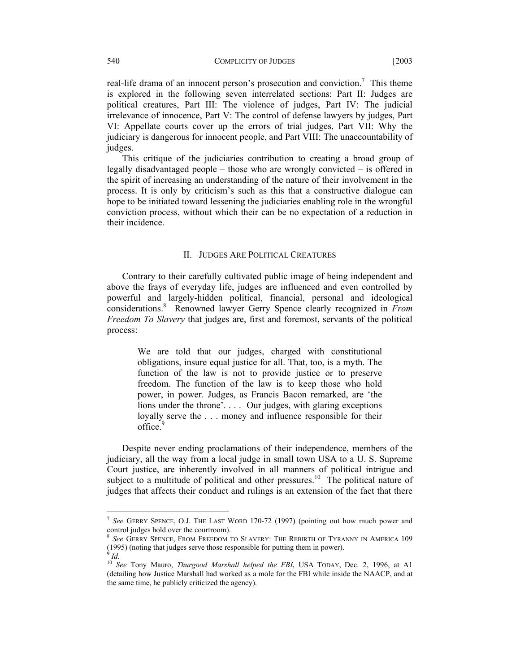real-life drama of an innocent person's prosecution and conviction.<sup>7</sup> This theme is explored in the following seven interrelated sections: Part II: Judges are political creatures, Part III: The violence of judges, Part IV: The judicial irrelevance of innocence, Part V: The control of defense lawyers by judges, Part VI: Appellate courts cover up the errors of trial judges, Part VII: Why the judiciary is dangerous for innocent people, and Part VIII: The unaccountability of judges.

 This critique of the judiciaries contribution to creating a broad group of legally disadvantaged people – those who are wrongly convicted – is offered in the spirit of increasing an understanding of the nature of their involvement in the process. It is only by criticism's such as this that a constructive dialogue can hope to be initiated toward lessening the judiciaries enabling role in the wrongful conviction process, without which their can be no expectation of a reduction in their incidence.

#### II. JUDGES ARE POLITICAL CREATURES

Contrary to their carefully cultivated public image of being independent and above the frays of everyday life, judges are influenced and even controlled by powerful and largely-hidden political, financial, personal and ideological considerations.<sup>8</sup> Renowned lawyer Gerry Spence clearly recognized in *From Freedom To Slavery* that judges are, first and foremost, servants of the political process:

> We are told that our judges, charged with constitutional obligations, insure equal justice for all. That, too, is a myth. The function of the law is not to provide justice or to preserve freedom. The function of the law is to keep those who hold power, in power. Judges, as Francis Bacon remarked, are 'the lions under the throne'. . . . Our judges, with glaring exceptions loyally serve the . . . money and influence responsible for their office.<sup>9</sup>

Despite never ending proclamations of their independence, members of the judiciary, all the way from a local judge in small town USA to a U. S. Supreme Court justice, are inherently involved in all manners of political intrigue and subject to a multitude of political and other pressures.<sup>10</sup> The political nature of judges that affects their conduct and rulings is an extension of the fact that there

<sup>7</sup> *See* GERRY SPENCE, O.J. THE LAST WORD 170-72 (1997) (pointing out how much power and control judges hold over the courtroom).

<sup>8</sup> *See* GERRY SPENCE, FROM FREEDOM TO SLAVERY: THE REBIRTH OF TYRANNY IN AMERICA 109 (1995) (noting that judges serve those responsible for putting them in power). 9

*Id.*

<sup>10</sup> *See* Tony Mauro, *Thurgood Marshall helped the FBI*, USA TODAY, Dec. 2, 1996, at A1 (detailing how Justice Marshall had worked as a mole for the FBI while inside the NAACP, and at the same time, he publicly criticized the agency).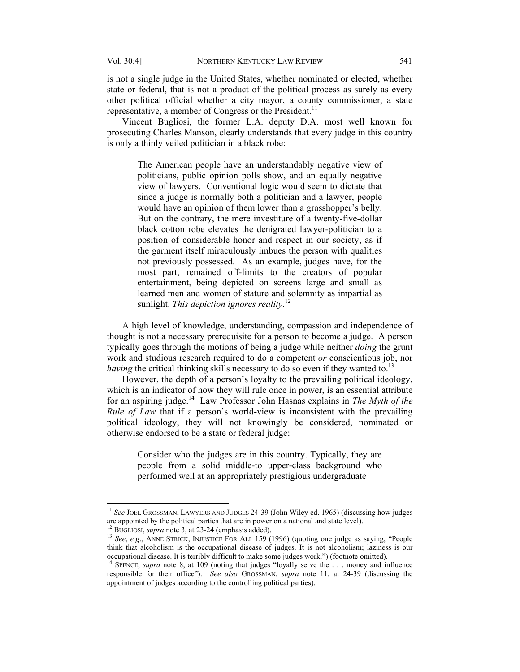is not a single judge in the United States, whether nominated or elected, whether state or federal, that is not a product of the political process as surely as every other political official whether a city mayor, a county commissioner, a state representative, a member of Congress or the President.<sup>11</sup>

Vincent Bugliosi, the former L.A. deputy D.A. most well known for prosecuting Charles Manson, clearly understands that every judge in this country is only a thinly veiled politician in a black robe:

The American people have an understandably negative view of politicians, public opinion polls show, and an equally negative view of lawyers. Conventional logic would seem to dictate that since a judge is normally both a politician and a lawyer, people would have an opinion of them lower than a grasshopper's belly. But on the contrary, the mere investiture of a twenty-five-dollar black cotton robe elevates the denigrated lawyer-politician to a position of considerable honor and respect in our society, as if the garment itself miraculously imbues the person with qualities not previously possessed. As an example, judges have, for the most part, remained off-limits to the creators of popular entertainment, being depicted on screens large and small as learned men and women of stature and solemnity as impartial as sunlight. *This depiction ignores reality*. 12

A high level of knowledge, understanding, compassion and independence of thought is not a necessary prerequisite for a person to become a judge. A person typically goes through the motions of being a judge while neither *doing* the grunt work and studious research required to do a competent *or* conscientious job, nor *having* the critical thinking skills necessary to do so even if they wanted to.<sup>13</sup>

However, the depth of a person's loyalty to the prevailing political ideology, which is an indicator of how they will rule once in power, is an essential attribute for an aspiring judge.14 Law Professor John Hasnas explains in *The Myth of the Rule of Law* that if a person's world-view is inconsistent with the prevailing political ideology, they will not knowingly be considered, nominated or otherwise endorsed to be a state or federal judge:

Consider who the judges are in this country. Typically, they are people from a solid middle-to upper-class background who performed well at an appropriately prestigious undergraduate

<sup>&</sup>lt;sup>11</sup> See JOEL GROSSMAN, LAWYERS AND JUDGES 24-39 (John Wiley ed. 1965) (discussing how judges are appointed by the political parties that are in power on a national and state level).<br><sup>12</sup> BUGLIOSI, *supra* note 3, at 23-24 (emphasis added).<br><sup>13</sup> *See, e.g.*, ANNE STRICK, INJUSTICE FOR ALL 159 (1996) (quoting one j

think that alcoholism is the occupational disease of judges. It is not alcoholism; laziness is our occupational disease. It is terribly difficult to make some judges work.") (footnote omitted). 14 SPENCE, *supra* note 8, at 109 (noting that judges "loyally serve the . . . money and influence

responsible for their office"). *See also* GROSSMAN, *supra* note 11, at 24-39 (discussing the appointment of judges according to the controlling political parties).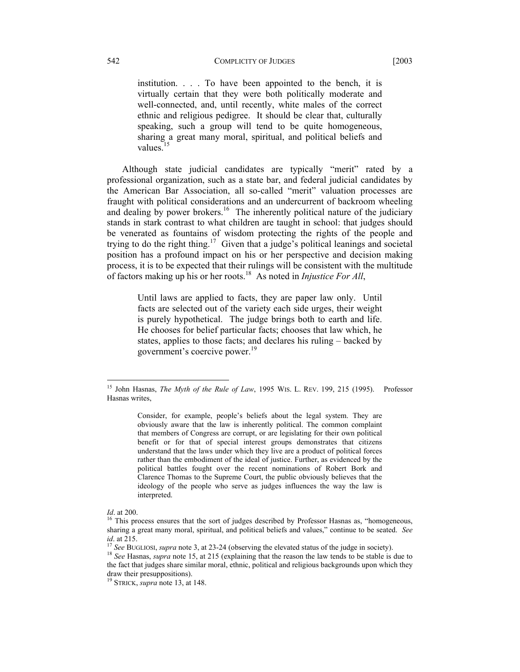#### 542 COMPLICITY OF JUDGES [2003]

institution. . . . To have been appointed to the bench, it is virtually certain that they were both politically moderate and well-connected, and, until recently, white males of the correct ethnic and religious pedigree. It should be clear that, culturally speaking, such a group will tend to be quite homogeneous, sharing a great many moral, spiritual, and political beliefs and values. $15$ 

Although state judicial candidates are typically "merit" rated by a professional organization, such as a state bar, and federal judicial candidates by the American Bar Association, all so-called "merit" valuation processes are fraught with political considerations and an undercurrent of backroom wheeling and dealing by power brokers.<sup>16</sup> The inherently political nature of the judiciary stands in stark contrast to what children are taught in school: that judges should be venerated as fountains of wisdom protecting the rights of the people and trying to do the right thing.<sup>17</sup> Given that a judge's political leanings and societal position has a profound impact on his or her perspective and decision making process, it is to be expected that their rulings will be consistent with the multitude of factors making up his or her roots.18 As noted in *Injustice For All*,

Until laws are applied to facts, they are paper law only. Until facts are selected out of the variety each side urges, their weight is purely hypothetical. The judge brings both to earth and life. He chooses for belief particular facts; chooses that law which, he states, applies to those facts; and declares his ruling – backed by government's coercive power.<sup>19</sup>

<sup>15</sup> John Hasnas, *The Myth of the Rule of Law*, 1995 WIS. L. REV. 199, 215 (1995). Professor Hasnas writes,

Consider, for example, people's beliefs about the legal system. They are obviously aware that the law is inherently political. The common complaint that members of Congress are corrupt, or are legislating for their own political benefit or for that of special interest groups demonstrates that citizens understand that the laws under which they live are a product of political forces rather than the embodiment of the ideal of justice. Further, as evidenced by the political battles fought over the recent nominations of Robert Bork and Clarence Thomas to the Supreme Court, the public obviously believes that the ideology of the people who serve as judges influences the way the law is interpreted.

*Id.* at 200.<br><sup>16</sup> This process ensures that the sort of judges described by Professor Hasnas as, "homogeneous, sharing a great many moral, spiritual, and political beliefs and values," continue to be seated. *See* 

<sup>&</sup>lt;sup>17</sup> See BUGLIOSI, *supra* note 3, at 23-24 (observing the elevated status of the judge in society).<br><sup>18</sup> See Hasnas, *supra* note 15, at 215 (explaining that the reason the law tends to be stable is due to the fact that judges share similar moral, ethnic, political and religious backgrounds upon which they draw their presuppositions).

<sup>19</sup> STRICK, *supra* note 13, at 148.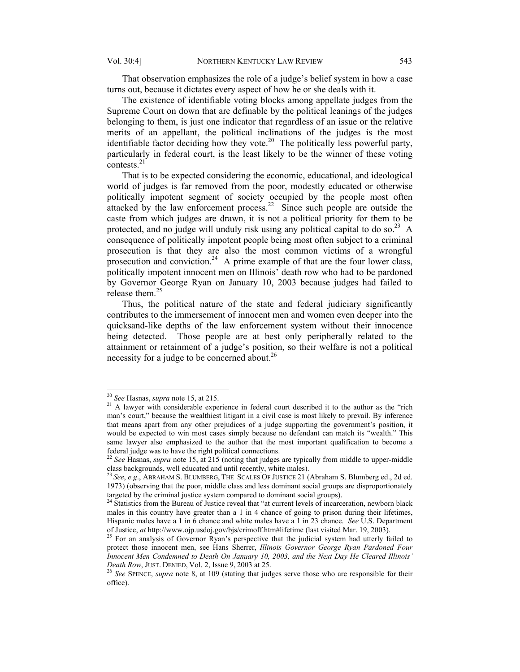That observation emphasizes the role of a judge's belief system in how a case turns out, because it dictates every aspect of how he or she deals with it.

The existence of identifiable voting blocks among appellate judges from the Supreme Court on down that are definable by the political leanings of the judges belonging to them, is just one indicator that regardless of an issue or the relative merits of an appellant, the political inclinations of the judges is the most identifiable factor deciding how they vote.<sup>20</sup> The politically less powerful party, particularly in federal court, is the least likely to be the winner of these voting contests.<sup>21</sup>

That is to be expected considering the economic, educational, and ideological world of judges is far removed from the poor, modestly educated or otherwise politically impotent segment of society occupied by the people most often attacked by the law enforcement process.<sup>22</sup> Since such people are outside the caste from which judges are drawn, it is not a political priority for them to be protected, and no judge will unduly risk using any political capital to do so.<sup>23</sup> A consequence of politically impotent people being most often subject to a criminal prosecution is that they are also the most common victims of a wrongful prosecution and conviction.<sup>24</sup> A prime example of that are the four lower class, politically impotent innocent men on Illinois' death row who had to be pardoned by Governor George Ryan on January 10, 2003 because judges had failed to release them.<sup>25</sup>

Thus, the political nature of the state and federal judiciary significantly contributes to the immersement of innocent men and women even deeper into the quicksand-like depths of the law enforcement system without their innocence being detected. Those people are at best only peripherally related to the attainment or retainment of a judge's position, so their welfare is not a political necessity for a judge to be concerned about.<sup>26</sup>

<sup>&</sup>lt;sup>20</sup> See Hasnas, *supra* note 15, at 215.

<sup>&</sup>lt;sup>21</sup> A lawyer with considerable experience in federal court described it to the author as the "rich" man's court," because the wealthiest litigant in a civil case is most likely to prevail. By inference that means apart from any other prejudices of a judge supporting the government's position, it would be expected to win most cases simply because no defendant can match its "wealth." This same lawyer also emphasized to the author that the most important qualification to become a federal judge was to have the right political connections. 22 *See* Hasnas, *supra* note 15, at 215 (noting that judges are typically from middle to upper-middle

class backgrounds, well educated and until recently, white males). 23 *See*, *e.g*., ABRAHAM S. BLUMBERG, THE SCALES OF JUSTICE 21 (Abraham S. Blumberg ed., 2d ed.

<sup>1973) (</sup>observing that the poor, middle class and less dominant social groups are disproportionately targeted by the criminal justice system compared to dominant social groups).<br><sup>24</sup> Statistics from the Bureau of Justice reveal that "at current levels of incarceration, newborn black

males in this country have greater than a 1 in 4 chance of going to prison during their lifetimes, Hispanic males have a 1 in 6 chance and white males have a 1 in 23 chance. *See* U.S. Department of Justice, *at* http://www.ojp.usdoj.gov/bjs/crimoff.htm#lifetime (last visited Mar. 19, 2003). 25 For an analysis of Governor Ryan's perspective that the judicial system had utterly failed to

protect those innocent men, see Hans Sherrer, *Illinois Governor George Ryan Pardoned Four Innocent Men Condemned to Death On January 10, 2003, and the Next Day He Cleared Illinois'* 

*Death Row*, JUST. DENIED, Vol. 2, Issue 9, 2003 at 25. 26 *See* SPENCE, *supra* note 8, at 109 (stating that judges serve those who are responsible for their office).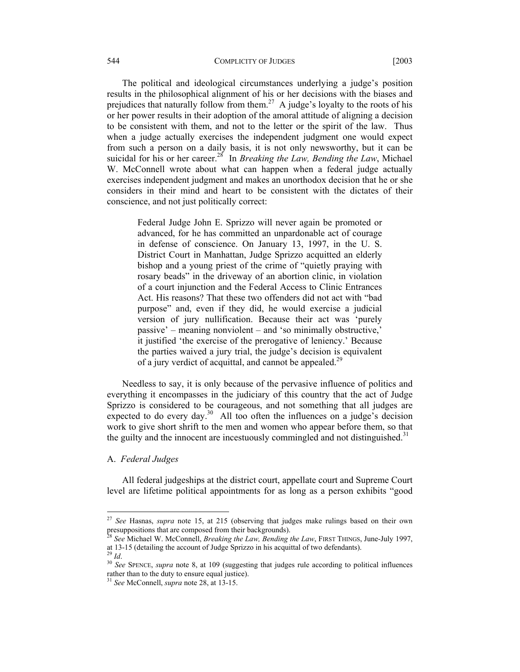#### 544 COMPLICITY OF JUDGES [2003

The political and ideological circumstances underlying a judge's position results in the philosophical alignment of his or her decisions with the biases and prejudices that naturally follow from them.<sup>27</sup> A judge's loyalty to the roots of his or her power results in their adoption of the amoral attitude of aligning a decision to be consistent with them, and not to the letter or the spirit of the law. Thus when a judge actually exercises the independent judgment one would expect from such a person on a daily basis, it is not only newsworthy, but it can be suicidal for his or her career.<sup>28</sup> In *Breaking the Law, Bending the Law*, Michael W. McConnell wrote about what can happen when a federal judge actually exercises independent judgment and makes an unorthodox decision that he or she considers in their mind and heart to be consistent with the dictates of their conscience, and not just politically correct:

> Federal Judge John E. Sprizzo will never again be promoted or advanced, for he has committed an unpardonable act of courage in defense of conscience. On January 13, 1997, in the U. S. District Court in Manhattan, Judge Sprizzo acquitted an elderly bishop and a young priest of the crime of "quietly praying with rosary beads" in the driveway of an abortion clinic, in violation of a court injunction and the Federal Access to Clinic Entrances Act. His reasons? That these two offenders did not act with "bad purpose" and, even if they did, he would exercise a judicial version of jury nullification. Because their act was 'purely passive' – meaning nonviolent – and 'so minimally obstructive,' it justified 'the exercise of the prerogative of leniency.' Because the parties waived a jury trial, the judge's decision is equivalent of a jury verdict of acquittal, and cannot be appealed.<sup>29</sup>

Needless to say, it is only because of the pervasive influence of politics and everything it encompasses in the judiciary of this country that the act of Judge Sprizzo is considered to be courageous, and not something that all judges are expected to do every day.<sup>30</sup> All too often the influences on a judge's decision work to give short shrift to the men and women who appear before them, so that the guilty and the innocent are incestuously commingled and not distinguished.<sup>31</sup>

#### A. *Federal Judges*

All federal judgeships at the district court, appellate court and Supreme Court level are lifetime political appointments for as long as a person exhibits "good

<sup>27</sup> *See* Hasnas, *supra* note 15, at 215 (observing that judges make rulings based on their own presuppositions that are composed from their backgrounds).

<sup>28</sup> *See* Michael W. McConnell, *Breaking the Law, Bending the Law*, FIRST THINGS, June-July 1997, at 13-15 (detailing the account of Judge Sprizzo in his acquittal of two defendants).<br><sup>29</sup> *Id.* 30 *See* SPENCE, *supra* note 8, at 109 (suggesting that judges rule according to political influences

rather than to the duty to ensure equal justice).

<sup>31</sup> *See* McConnell, *supra* note 28, at 13-15.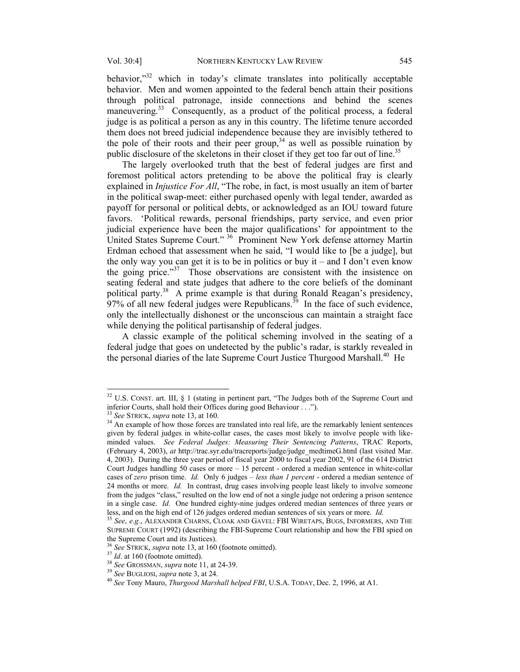behavior,"<sup>32</sup> which in today's climate translates into politically acceptable behavior. Men and women appointed to the federal bench attain their positions through political patronage, inside connections and behind the scenes maneuvering.<sup>33</sup> Consequently, as a product of the political process, a federal judge is as political a person as any in this country. The lifetime tenure accorded them does not breed judicial independence because they are invisibly tethered to the pole of their roots and their peer group,<sup>34</sup> as well as possible ruination by public disclosure of the skeletons in their closet if they get too far out of line.<sup>35</sup>

The largely overlooked truth that the best of federal judges are first and foremost political actors pretending to be above the political fray is clearly explained in *Injustice For All*, "The robe, in fact, is most usually an item of barter in the political swap-meet: either purchased openly with legal tender, awarded as payoff for personal or political debts, or acknowledged as an IOU toward future favors. 'Political rewards, personal friendships, party service, and even prior judicial experience have been the major qualifications' for appointment to the United States Supreme Court." 36 Prominent New York defense attorney Martin Erdman echoed that assessment when he said, "I would like to [be a judge], but the only way you can get it is to be in politics or buy it – and I don't even know the going price."<sup>37</sup> Those observations are consistent with the insistence on seating federal and state judges that adhere to the core beliefs of the dominant political party.<sup>38</sup> A prime example is that during Ronald Reagan's presidency,  $97%$  of all new federal judges were Republicans.<sup>39</sup> In the face of such evidence, only the intellectually dishonest or the unconscious can maintain a straight face while denying the political partisanship of federal judges.

A classic example of the political scheming involved in the seating of a federal judge that goes on undetected by the public's radar, is starkly revealed in the personal diaries of the late Supreme Court Justice Thurgood Marshall.<sup>40</sup> He

<sup>&</sup>lt;sup>32</sup> U.S. CONST. art. III, § 1 (stating in pertinent part, "The Judges both of the Supreme Court and inferior Courts, shall hold their Offices during good Behaviour . . .").<br><sup>33</sup> See STRICK, *supra* note 13, at 160.<br><sup>34</sup> An example of how those forces are translated into real life, are the remarkably lenient sentences

given by federal judges in white-collar cases, the cases most likely to involve people with likeminded values. *See Federal Judges: Measuring Their Sentencing Patterns*, TRAC Reports, (February 4, 2003), *at* http://trac.syr.edu/tracreports/judge/judge\_medtimeG.html (last visited Mar. 4, 2003). During the three year period of fiscal year 2000 to fiscal year 2002, 91 of the 614 District Court Judges handling 50 cases or more – 15 percent - ordered a median sentence in white-collar cases of *zero* prison time. *Id.* Only 6 judges – *less than 1 percent* - ordered a median sentence of 24 months or more. *Id.* In contrast, drug cases involving people least likely to involve someone from the judges "class," resulted on the low end of not a single judge not ordering a prison sentence in a single case. *Id.* One hundred eighty-nine judges ordered median sentences of three years or less, and on the high end of 126 judges ordered median sentences of six years or more. *Id.* <sup>35</sup> *See*, *e.g.*, ALEXANDER CHARNS, CLOAK AND GAVEL: FBI WIRETAPS, BUGS, INFORMERS, AND THE

SUPREME COURT (1992) (describing the FBI-Supreme Court relationship and how the FBI spied on the Supreme Court and its Justices).<br><sup>36</sup> See STRICK, *supra* note 13, at 160 (footnote omitted).

<sup>&</sup>lt;sup>37</sup> *Id.* at 160 (footnote omitted).<br><sup>38</sup> *See* GROSSMAN, *supra* note 11, at 24-39.<br><sup>39</sup> *See* BUGLIOSI, *supra* note 3, at 24.<br><sup>40</sup> *See* Tony Mauro, *Thurgood Marshall helped FBI*, U.S.A. TODAY, Dec. 2, 1996, at A1.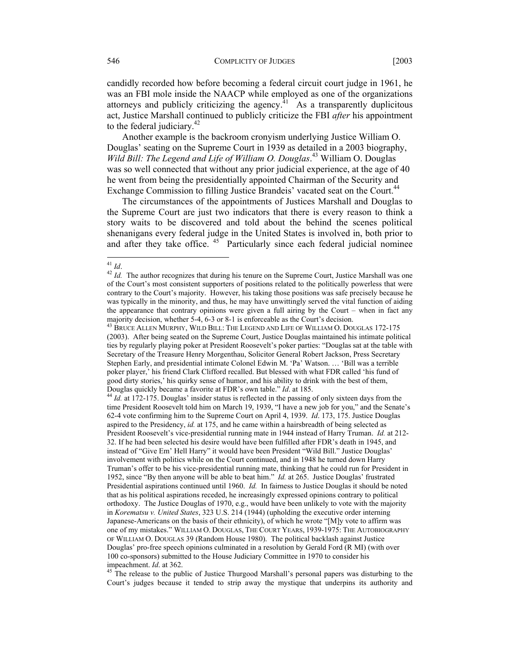candidly recorded how before becoming a federal circuit court judge in 1961, he was an FBI mole inside the NAACP while employed as one of the organizations attorneys and publicly criticizing the agency.<sup>41</sup> As a transparently duplicitous act, Justice Marshall continued to publicly criticize the FBI *after* his appointment to the federal judiciary. $42$ 

 Another example is the backroom cronyism underlying Justice William O. Douglas' seating on the Supreme Court in 1939 as detailed in a 2003 biography, *Wild Bill: The Legend and Life of William O. Douglas*. 43 William O. Douglas was so well connected that without any prior judicial experience, at the age of 40 he went from being the presidentially appointed Chairman of the Security and Exchange Commission to filling Justice Brandeis' vacated seat on the Court.<sup>44</sup>

The circumstances of the appointments of Justices Marshall and Douglas to the Supreme Court are just two indicators that there is every reason to think a story waits to be discovered and told about the behind the scenes political shenanigans every federal judge in the United States is involved in, both prior to and after they take office. <sup>45</sup> Particularly since each federal judicial nominee

## $^{41}\,$  Id.

impeachment. *Id*. at 362. <sup>45</sup> The release to the public of Justice Thurgood Marshall's personal papers was disturbing to the Court's judges because it tended to strip away the mystique that underpins its authority and

<sup>&</sup>lt;sup>42</sup> *Id.* The author recognizes that during his tenure on the Supreme Court, Justice Marshall was one of the Court's most consistent supporters of positions related to the politically powerless that were contrary to the Court's majority. However, his taking those positions was safe precisely because he was typically in the minority, and thus, he may have unwittingly served the vital function of aiding the appearance that contrary opinions were given a full airing by the Court – when in fact any majority decision, whether 5-4, 6-3 or 8-1 is enforceable as the Court's decision.

<sup>&</sup>lt;sup>43</sup> BRUCE ALLEN MURPHY, WILD BILL: THE LEGEND AND LIFE OF WILLIAM O. DOUGLAS 172-175 (2003). After being seated on the Supreme Court, Justice Douglas maintained his intimate political ties by regularly playing poker at President Roosevelt's poker parties: "Douglas sat at the table with Secretary of the Treasure Henry Morgenthau, Solicitor General Robert Jackson, Press Secretary Stephen Early, and presidential intimate Colonel Edwin M. 'Pa' Watson. … 'Bill was a terrible poker player,' his friend Clark Clifford recalled. But blessed with what FDR called 'his fund of good dirty stories,' his quirky sense of humor, and his ability to drink with the best of them,

Douglas quickly became a favorite at FDR's own table." *Id.* at 185.<br><sup>44</sup> *Id.* at 172-175. Douglas' insider status is reflected in the passing of only sixteen days from the time President Roosevelt told him on March 19, 1939, "I have a new job for you," and the Senate's 62-4 vote confirming him to the Supreme Court on April 4, 1939. *Id*. 173, 175. Justice Douglas aspired to the Presidency, *id.* at 175, and he came within a hairsbreadth of being selected as President Roosevelt's vice-presidential running mate in 1944 instead of Harry Truman. *Id.* at 212- 32. If he had been selected his desire would have been fulfilled after FDR's death in 1945, and instead of "Give Em' Hell Harry" it would have been President "Wild Bill." Justice Douglas' involvement with politics while on the Court continued, and in 1948 he turned down Harry Truman's offer to be his vice-presidential running mate, thinking that he could run for President in 1952, since "By then anyone will be able to beat him." *Id.* at 265. Justice Douglas' frustrated Presidential aspirations continued until 1960. *Id.* In fairness to Justice Douglas it should be noted that as his political aspirations receded, he increasingly expressed opinions contrary to political orthodoxy. The Justice Douglas of 1970, e.g., would have been unlikely to vote with the majority in *Korematsu v. United States*, 323 U.S. 214 (1944) (upholding the executive order interning Japanese-Americans on the basis of their ethnicity), of which he wrote "[M]y vote to affirm was one of my mistakes." WILLIAM O. DOUGLAS, THE COURT YEARS, 1939-1975: THE AUTOBIOGRAPHY OF WILLIAM O. DOUGLAS 39 (Random House 1980). The political backlash against Justice Douglas' pro-free speech opinions culminated in a resolution by Gerald Ford (R MI) (with over 100 co-sponsors) submitted to the House Judiciary Committee in 1970 to consider his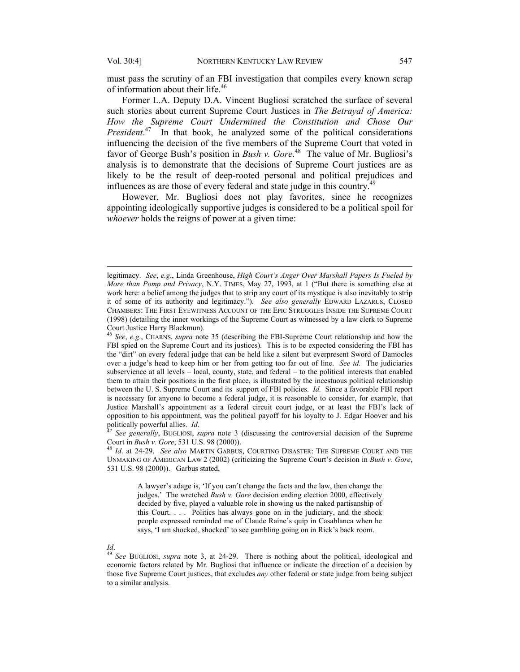$\overline{a}$ 

must pass the scrutiny of an FBI investigation that compiles every known scrap of information about their life.<sup>46</sup>

Former L.A. Deputy D.A. Vincent Bugliosi scratched the surface of several such stories about current Supreme Court Justices in *The Betrayal of America: How the Supreme Court Undermined the Constitution and Chose Our President.*<sup>47</sup> In that book, he analyzed some of the political considerations influencing the decision of the five members of the Supreme Court that voted in favor of George Bush's position in *Bush v. Gore*. 48 The value of Mr. Bugliosi's analysis is to demonstrate that the decisions of Supreme Court justices are as likely to be the result of deep-rooted personal and political prejudices and influences as are those of every federal and state judge in this country.<sup>49</sup>

However, Mr. Bugliosi does not play favorites, since he recognizes appointing ideologically supportive judges is considered to be a political spoil for *whoever* holds the reigns of power at a given time:

<sup>47</sup> See generally, BUGLIOSI, *supra* note 3 (discussing the controversial decision of the Supreme Court in *Bush v. Gore*, 531 U.S. 98 (2000)). 48 *Id*. at 24-29. *See also* MARTIN GARBUS, COURTING DISASTER: THE SUPREME COURT AND THE

UNMAKING OF AMERICAN LAW 2 (2002) (criticizing the Supreme Court's decision in *Bush v. Gore*, 531 U.S. 98 (2000)). Garbus stated,

A lawyer's adage is, 'If you can't change the facts and the law, then change the judges.' The wretched *Bush v. Gore* decision ending election 2000, effectively decided by five, played a valuable role in showing us the naked partisanship of this Court. . . . Politics has always gone on in the judiciary, and the shock people expressed reminded me of Claude Raine's quip in Casablanca when he says, 'I am shocked, shocked' to see gambling going on in Rick's back room.

*Id*. 49 *See* BUGLIOSI, *supra* note 3, at 24-29. There is nothing about the political, ideological and economic factors related by Mr. Bugliosi that influence or indicate the direction of a decision by those five Supreme Court justices, that excludes *any* other federal or state judge from being subject to a similar analysis.

legitimacy. *See*, *e.g*., Linda Greenhouse, *High Court's Anger Over Marshall Papers Is Fueled by More than Pomp and Privacy*, N.Y. TIMES, May 27, 1993, at 1 ("But there is something else at work here: a belief among the judges that to strip any court of its mystique is also inevitably to strip it of some of its authority and legitimacy."). *See also generally* EDWARD LAZARUS, CLOSED CHAMBERS: THE FIRST EYEWITNESS ACCOUNT OF THE EPIC STRUGGLES INSIDE THE SUPREME COURT (1998) (detailing the inner workings of the Supreme Court as witnessed by a law clerk to Supreme Court Justice Harry Blackmun).

<sup>46</sup> *See*, *e.g*., CHARNS, *supra* note 35 (describing the FBI-Supreme Court relationship and how the FBI spied on the Supreme Court and its justices). This is to be expected considering the FBI has the "dirt" on every federal judge that can be held like a silent but everpresent Sword of Damocles over a judge's head to keep him or her from getting too far out of line. *See id.* The judiciaries subservience at all levels – local, county, state, and federal – to the political interests that enabled them to attain their positions in the first place, is illustrated by the incestuous political relationship between the U. S. Supreme Court and its support of FBI policies. *Id.* Since a favorable FBI report is necessary for anyone to become a federal judge, it is reasonable to consider, for example, that Justice Marshall's appointment as a federal circuit court judge, or at least the FBI's lack of opposition to his appointment, was the political payoff for his loyalty to J. Edgar Hoover and his politically powerful allies.  $Id$ .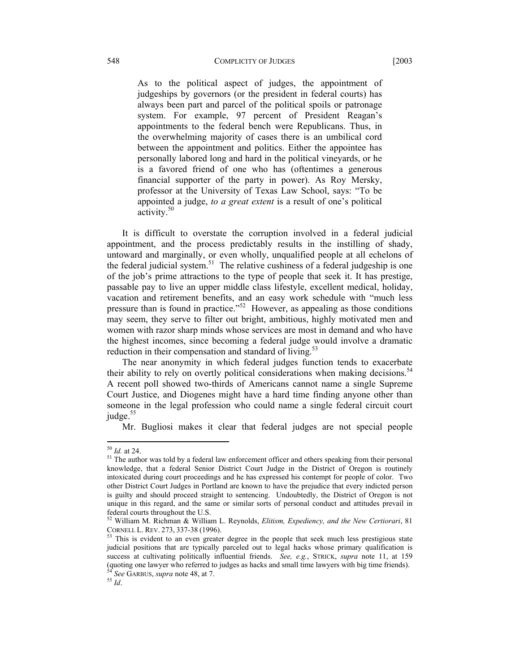As to the political aspect of judges, the appointment of judgeships by governors (or the president in federal courts) has always been part and parcel of the political spoils or patronage system. For example, 97 percent of President Reagan's appointments to the federal bench were Republicans. Thus, in the overwhelming majority of cases there is an umbilical cord between the appointment and politics. Either the appointee has personally labored long and hard in the political vineyards, or he is a favored friend of one who has (oftentimes a generous financial supporter of the party in power). As Roy Mersky, professor at the University of Texas Law School, says: "To be appointed a judge, *to a great extent* is a result of one's political activity.<sup>50</sup>

It is difficult to overstate the corruption involved in a federal judicial appointment, and the process predictably results in the instilling of shady, untoward and marginally, or even wholly, unqualified people at all echelons of the federal judicial system.<sup>51</sup> The relative cushiness of a federal judgeship is one of the job's prime attractions to the type of people that seek it. It has prestige, passable pay to live an upper middle class lifestyle, excellent medical, holiday, vacation and retirement benefits, and an easy work schedule with "much less pressure than is found in practice."<sup>52</sup> However, as appealing as those conditions may seem, they serve to filter out bright, ambitious, highly motivated men and women with razor sharp minds whose services are most in demand and who have the highest incomes, since becoming a federal judge would involve a dramatic reduction in their compensation and standard of living. $53$ 

The near anonymity in which federal judges function tends to exacerbate their ability to rely on overtly political considerations when making decisions.<sup>54</sup> A recent poll showed two-thirds of Americans cannot name a single Supreme Court Justice, and Diogenes might have a hard time finding anyone other than someone in the legal profession who could name a single federal circuit court judge.<sup>55</sup>

Mr. Bugliosi makes it clear that federal judges are not special people

 $50$  *Id.* at 24.

<sup>&</sup>lt;sup>51</sup> The author was told by a federal law enforcement officer and others speaking from their personal knowledge, that a federal Senior District Court Judge in the District of Oregon is routinely intoxicated during court proceedings and he has expressed his contempt for people of color. Two other District Court Judges in Portland are known to have the prejudice that every indicted person is guilty and should proceed straight to sentencing. Undoubtedly, the District of Oregon is not unique in this regard, and the same or similar sorts of personal conduct and attitudes prevail in federal courts throughout the U.S.

<sup>52</sup> William M. Richman & William L. Reynolds, *Elitism, Expediency, and the New Certiorari*, 81 CORNELL L. REV. 273, 337-38 (1996).<br><sup>53</sup> This is evident to an even greater degree in the people that seek much less prestigious state

judicial positions that are typically parceled out to legal hacks whose primary qualification is success at cultivating politically influential friends. *See, e.g.*, STRICK, *supra* note 11, at 159 (quoting one lawyer who referred to judges as hacks and small time lawyers with big time friends). 54 *See* GARBUS, *supra* note 48, at 7. 55 *Id*.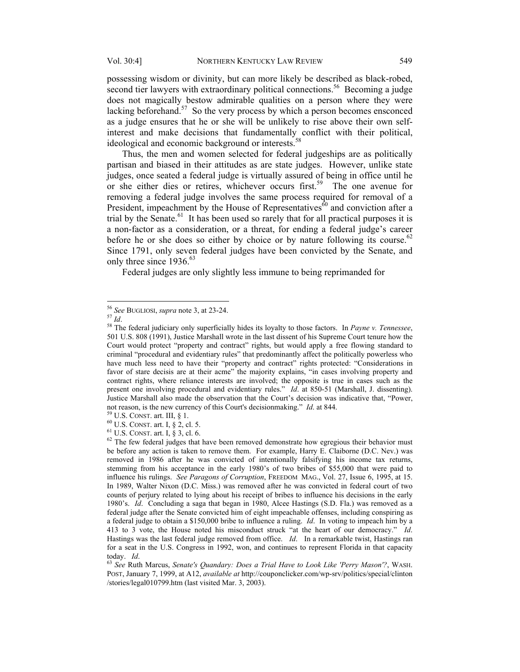possessing wisdom or divinity, but can more likely be described as black-robed, second tier lawyers with extraordinary political connections.<sup>56</sup> Becoming a judge does not magically bestow admirable qualities on a person where they were lacking beforehand.<sup>57</sup> So the very process by which a person becomes ensconced as a judge ensures that he or she will be unlikely to rise above their own selfinterest and make decisions that fundamentally conflict with their political, ideological and economic background or interests.<sup>58</sup>

Thus, the men and women selected for federal judgeships are as politically partisan and biased in their attitudes as are state judges. However, unlike state judges, once seated a federal judge is virtually assured of being in office until he or she either dies or retires, whichever occurs first.<sup>59</sup> The one avenue for removing a federal judge involves the same process required for removal of a President, impeachment by the House of Representatives $\hat{60}$  and conviction after a trial by the Senate.<sup>61</sup> It has been used so rarely that for all practical purposes it is a non-factor as a consideration, or a threat, for ending a federal judge's career before he or she does so either by choice or by nature following its course.<sup>62</sup> Since 1791, only seven federal judges have been convicted by the Senate, and only three since 1936.<sup>63</sup>

Federal judges are only slightly less immune to being reprimanded for

<sup>&</sup>lt;sup>56</sup> See BUGLIOSI, supra note 3, at 23-24.

<sup>56</sup> *See* BUGLIOSI, *supra* note 3, at 23-24. 57 *Id*. 58 The federal judiciary only superficially hides its loyalty to those factors. In *Payne v. Tennessee*, 501 U.S. 808 (1991), Justice Marshall wrote in the last dissent of his Supreme Court tenure how the Court would protect "property and contract" rights, but would apply a free flowing standard to criminal "procedural and evidentiary rules" that predominantly affect the politically powerless who have much less need to have their "property and contract" rights protected: "Considerations in favor of stare decisis are at their acme" the majority explains, "in cases involving property and contract rights, where reliance interests are involved; the opposite is true in cases such as the present one involving procedural and evidentiary rules." *Id*. at 850-51 (Marshall, J. dissenting). Justice Marshall also made the observation that the Court's decision was indicative that, "Power, not reason, is the new currency of this Court's decisionmaking." *Id.* at 844.<br><sup>59</sup> U.S. CONST. art. III, § 1.<br><sup>60</sup> U.S. CONST. art. I, § 2, cl. 5.<br><sup>61</sup> U.S. CONST. art. I, § 3, cl. 6.<br><sup>62</sup> The few federal judges that hav

be before any action is taken to remove them. For example, Harry E. Claiborne (D.C. Nev.) was removed in 1986 after he was convicted of intentionally falsifying his income tax returns, stemming from his acceptance in the early 1980's of two bribes of \$55,000 that were paid to influence his rulings. *See Paragons of Corruption*, FREEDOM MAG., Vol. 27, Issue 6, 1995, at 15. In 1989, Walter Nixon (D.C. Miss.) was removed after he was convicted in federal court of two counts of perjury related to lying about his receipt of bribes to influence his decisions in the early 1980's. *Id*. Concluding a saga that began in 1980, Alcee Hastings (S.D. Fla.) was removed as a federal judge after the Senate convicted him of eight impeachable offenses, including conspiring as a federal judge to obtain a \$150,000 bribe to influence a ruling. *Id*. In voting to impeach him by a 413 to 3 vote, the House noted his misconduct struck "at the heart of our democracy." *Id*. Hastings was the last federal judge removed from office. *Id*. In a remarkable twist, Hastings ran for a seat in the U.S. Congress in 1992, won, and continues to represent Florida in that capacity today. *Id*. 63 *See* Ruth Marcus, *Senate's Quandary: Does a Trial Have to Look Like 'Perry Mason'?*, WASH.

POST, January 7, 1999, at A12, *available at* http://couponclicker.com/wp-srv/politics/special/clinton /stories/legal010799.htm (last visited Mar. 3, 2003).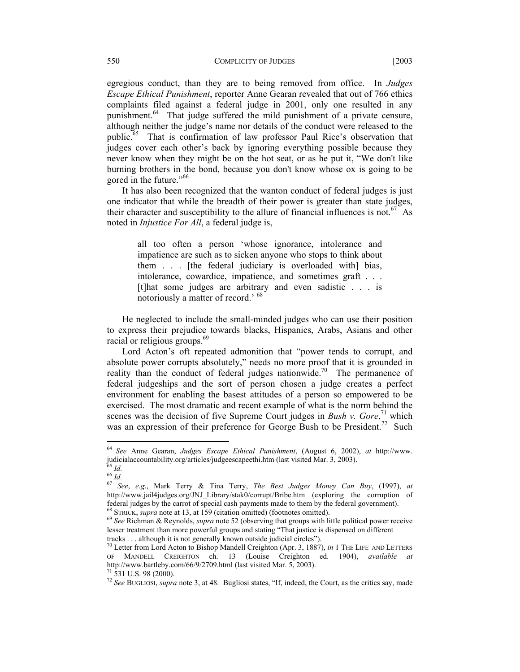egregious conduct, than they are to being removed from office. In *Judges Escape Ethical Punishment*, reporter Anne Gearan revealed that out of 766 ethics complaints filed against a federal judge in 2001, only one resulted in any punishment.<sup>64</sup> That judge suffered the mild punishment of a private censure, although neither the judge's name nor details of the conduct were released to the public.65 That is confirmation of law professor Paul Rice's observation that judges cover each other's back by ignoring everything possible because they never know when they might be on the hot seat, or as he put it, "We don't like burning brothers in the bond, because you don't know whose ox is going to be gored in the future."<sup>66</sup>

It has also been recognized that the wanton conduct of federal judges is just one indicator that while the breadth of their power is greater than state judges, their character and susceptibility to the allure of financial influences is not.<sup>67</sup> As noted in *Injustice For All*, a federal judge is,

all too often a person 'whose ignorance, intolerance and impatience are such as to sicken anyone who stops to think about them . . . [the federal judiciary is overloaded with] bias, intolerance, cowardice, impatience, and sometimes graft . . . [t]hat some judges are arbitrary and even sadistic . . . is notoriously a matter of record.' 68

 He neglected to include the small-minded judges who can use their position to express their prejudice towards blacks, Hispanics, Arabs, Asians and other racial or religious groups.<sup>69</sup>

Lord Acton's oft repeated admonition that "power tends to corrupt, and absolute power corrupts absolutely," needs no more proof that it is grounded in reality than the conduct of federal judges nationwide.<sup>70</sup> The permanence of federal judgeships and the sort of person chosen a judge creates a perfect environment for enabling the basest attitudes of a person so empowered to be exercised. The most dramatic and recent example of what is the norm behind the scenes was the decision of five Supreme Court judges in *Bush v. Gore*,<sup>71</sup> which was an expression of their preference for George Bush to be President.<sup>72</sup> Such

<sup>64</sup> *See* Anne Gearan, *Judges Escape Ethical Punishment*, (August 6, 2002), *at* http://www*.* judicialaccountability.org/articles/judgeescapeethi.htm (last visited Mar. 3, 2003). 65 *Id.* <sup>66</sup> *Id.* <sup>67</sup> *See*, *e.g*., Mark Terry & Tina Terry, *The Best Judges Money Can Buy*, (1997), *at* 

http://www.jail4judges.org/JNJ\_Library/stak0/corrupt/Bribe.htm (exploring the corruption of federal judges by the carrot of special cash payments made to them by the federal government).<br><sup>68</sup> STRICK, *supra* note at 13, at 159 (citation omitted) (footnotes omitted).<br><sup>69</sup> See Richman & Reynolds, *supra* note 52 (

lesser treatment than more powerful groups and stating "That justice is dispensed on different tracks . . . although it is not generally known outside judicial circles").

<sup>&</sup>lt;sup>70</sup> Letter from Lord Acton to Bishop Mandell Creighton (Apr. 3, 1887), *in* 1 THE LIFE AND LETTERS OF MANDELL CREIGHTON ch. 13 (Louise Creighton ed. 1904), *available at* http://www.bartleby.com/66/9/2709.html (last visited Mar. 5, 2003). 71 531 U.S. 98 (2000).

<sup>72</sup> *See* BUGLIOSI, *supra* note 3, at 48. Bugliosi states, "If, indeed, the Court, as the critics say, made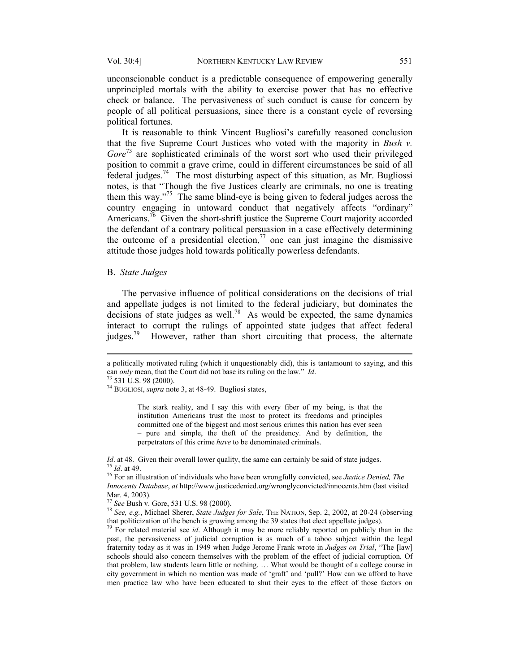unconscionable conduct is a predictable consequence of empowering generally unprincipled mortals with the ability to exercise power that has no effective check or balance. The pervasiveness of such conduct is cause for concern by people of all political persuasions, since there is a constant cycle of reversing political fortunes.

It is reasonable to think Vincent Bugliosi's carefully reasoned conclusion that the five Supreme Court Justices who voted with the majority in *Bush v. Gore*73 are sophisticated criminals of the worst sort who used their privileged position to commit a grave crime, could in different circumstances be said of all federal judges.<sup>74</sup> The most disturbing aspect of this situation, as Mr. Bugliossi notes, is that "Though the five Justices clearly are criminals, no one is treating them this way."75 The same blind-eye is being given to federal judges across the country engaging in untoward conduct that negatively affects "ordinary" Americans.<sup>76</sup> Given the short-shrift justice the Supreme Court majority accorded the defendant of a contrary political persuasion in a case effectively determining the outcome of a presidential election,  $\frac{7}{7}$  one can just imagine the dismissive attitude those judges hold towards politically powerless defendants.

#### B. *State Judges*

The pervasive influence of political considerations on the decisions of trial and appellate judges is not limited to the federal judiciary, but dominates the  $\frac{d}{dt}$  decisions of state judges as well.<sup>78</sup> As would be expected, the same dynamics interact to corrupt the rulings of appointed state judges that affect federal judges.<sup>79</sup> However, rather than short circuiting that process, the alternate

 $\overline{a}$ 

74 BUGLIOSI, *supra* note 3, at 48-49. Bugliosi states,

The stark reality, and I say this with every fiber of my being, is that the institution Americans trust the most to protect its freedoms and principles committed one of the biggest and most serious crimes this nation has ever seen – pure and simple, the theft of the presidency. And by definition, the perpetrators of this crime *have* to be denominated criminals.

*Id.* at 48. Given their overall lower quality, the same can certainly be said of state judges.<br><sup>75</sup> *Id.* at 49.<br><sup>76</sup> For an illustration of individuals who have been wrongfully convicted, see *Justice Denied*, *The* 

a politically motivated ruling (which it unquestionably did), this is tantamount to saying, and this can *only* mean, that the Court did not base its ruling on the law." *Id*. 73 531 U.S. 98 (2000).

*Innocents Database*, *at* http://www.justicedenied.org/wronglyconvicted/innocents.htm (last visited Mar. 4, 2003).<br><sup>77</sup> See Bush v. Gore, 531 U.S. 98 (2000).

<sup>&</sup>lt;sup>78</sup> *See*, *e.g.*, Michael Sherer, *State Judges for Sale*, THE NATION, Sep. 2, 2002, at 20-24 (observing that politicization of the bench is growing among the 39 states that elect appellate judges).

For related material see *id*. Although it may be more reliably reported on publicly than in the past, the pervasiveness of judicial corruption is as much of a taboo subject within the legal fraternity today as it was in 1949 when Judge Jerome Frank wrote in *Judges on Trial*, "The [law] schools should also concern themselves with the problem of the effect of judicial corruption. Of that problem, law students learn little or nothing. … What would be thought of a college course in city government in which no mention was made of 'graft' and 'pull?' How can we afford to have men practice law who have been educated to shut their eyes to the effect of those factors on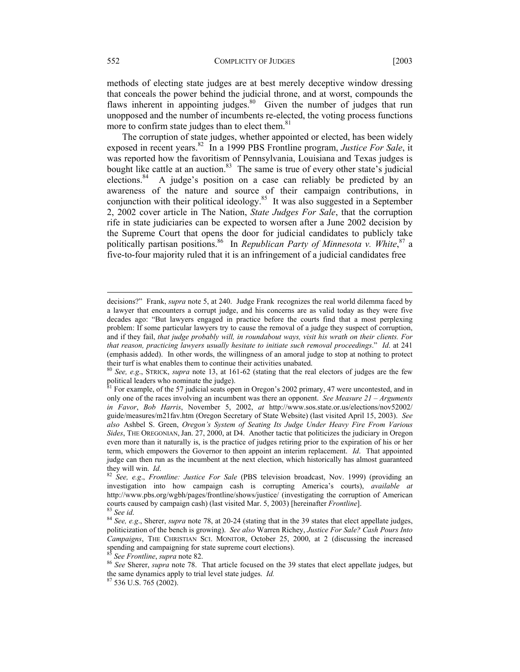methods of electing state judges are at best merely deceptive window dressing that conceals the power behind the judicial throne, and at worst, compounds the flaws inherent in appointing judges.<sup>80</sup> Given the number of judges that run unopposed and the number of incumbents re-elected, the voting process functions more to confirm state judges than to elect them.<sup>81</sup>

The corruption of state judges, whether appointed or elected, has been widely exposed in recent years.82 In a 1999 PBS Frontline program, *Justice For Sale*, it was reported how the favoritism of Pennsylvania, Louisiana and Texas judges is bought like cattle at an auction. $83$  The same is true of every other state's judicial elections.<sup>84</sup> A judge's position on a case can reliably be predicted by an awareness of the nature and source of their campaign contributions, in conjunction with their political ideology.<sup>85</sup> It was also suggested in a September 2, 2002 cover article in The Nation, *State Judges For Sale*, that the corruption rife in state judiciaries can be expected to worsen after a June 2002 decision by the Supreme Court that opens the door for judicial candidates to publicly take politically partisan positions.<sup>86</sup> In *Republican Party of Minnesota v. White*,<sup>87</sup> a five-to-four majority ruled that it is an infringement of a judicial candidates free

decisions?" Frank, *supra* note 5, at 240. Judge Frank recognizes the real world dilemma faced by a lawyer that encounters a corrupt judge, and his concerns are as valid today as they were five decades ago: "But lawyers engaged in practice before the courts find that a most perplexing problem: If some particular lawyers try to cause the removal of a judge they suspect of corruption, and if they fail, *that judge probably will, in roundabout ways, visit his wrath on their clients. For that reason, practicing lawyers usually hesitate to initiate such removal proceedings*." *Id*. at 241 (emphasis added). In other words, the willingness of an amoral judge to stop at nothing to protect their turf is what enables them to continue their activities unabated.

<sup>80</sup> *See, e.g*., STRICK, *supra* note 13, at 161-62 (stating that the real electors of judges are the few political leaders who nominate the judge).

 $81$  For example, of the 57 judicial seats open in Oregon's 2002 primary, 47 were uncontested, and in only one of the races involving an incumbent was there an opponent. *See Measure 21 – Arguments in Favor*, *Bob Harris*, November 5, 2002, *at* http://www.sos.state.or.us/elections/nov52002/ guide/measures/m21fav.htm (Oregon Secretary of State Website) (last visited April 15, 2003). *See also* Ashbel S. Green, *Oregon's System of Seating Its Judge Under Heavy Fire From Various Sides*, THE OREGONIAN, Jan. 27, 2000, at D4. Another tactic that politicizes the judiciary in Oregon even more than it naturally is, is the practice of judges retiring prior to the expiration of his or her term, which empowers the Governor to then appoint an interim replacement. *Id*. That appointed judge can then run as the incumbent at the next election, which historically has almost guaranteed

they will win. *Id*. 82 *See, e.g*., *Frontline: Justice For Sale* (PBS television broadcast, Nov. 1999) (providing an investigation into how campaign cash is corrupting America's courts), *available at* http://www.pbs.org/wgbh/pages/frontline/shows/justice/ (investigating the corruption of American courts caused by campaign cash) (last visited Mar. 5, 2003) [hereinafter *Frontline*].<br><sup>83</sup> See id.<br><sup>84</sup> See, e.g., Sherer, *supra* note 78, at 20-24 (stating that in the 39 states that elect appellate judges,

politicization of the bench is growing). *See also* Warren Richey, *Justice For Sale? Cash Pours Into Campaigns*, THE CHRISTIAN SCI. MONITOR, October 25, 2000, at 2 (discussing the increased spending and campaigning for state supreme court elections).

<sup>&</sup>lt;sup>85</sup> See Frontline, *supra* note 82.<br><sup>86</sup> See Sherer, *supra* note 78. That article focused on the 39 states that elect appellate judges, but the same dynamics apply to trial level state judges. *Id.* 87 536 U.S. 765 (2002).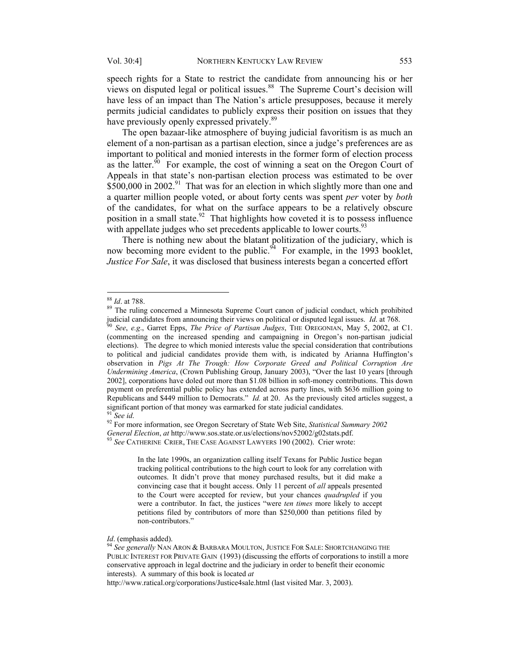speech rights for a State to restrict the candidate from announcing his or her views on disputed legal or political issues.<sup>88</sup> The Supreme Court's decision will have less of an impact than The Nation's article presupposes, because it merely permits judicial candidates to publicly express their position on issues that they have previously openly expressed privately.<sup>89</sup>

The open bazaar-like atmosphere of buying judicial favoritism is as much an element of a non-partisan as a partisan election, since a judge's preferences are as important to political and monied interests in the former form of election process as the latter.<sup>90</sup> For example, the cost of winning a seat on the Oregon Court of Appeals in that state's non-partisan election process was estimated to be over \$500,000 in 2002.<sup>91</sup> That was for an election in which slightly more than one and a quarter million people voted, or about forty cents was spent *per* voter by *both* of the candidates, for what on the surface appears to be a relatively obscure position in a small state.<sup>92</sup> That highlights how coveted it is to possess influence with appellate judges who set precedents applicable to lower courts.<sup>93</sup>

There is nothing new about the blatant politization of the judiciary, which is now becoming more evident to the public.<sup> $94$ </sup> For example, in the 1993 booklet, *Justice For Sale*, it was disclosed that business interests began a concerted effort

 $\overline{a}$ 

In the late 1990s, an organization calling itself Texans for Public Justice began tracking political contributions to the high court to look for any correlation with outcomes. It didn't prove that money purchased results, but it did make a convincing case that it bought access. Only 11 percent of *all* appeals presented to the Court were accepted for review, but your chances *quadrupled* if you were a contributor. In fact, the justices "were *ten times* more likely to accept petitions filed by contributors of more than \$250,000 than petitions filed by non-contributors."

<sup>&</sup>lt;sup>88</sup> *Id.* at 788.<br><sup>89</sup> The ruling concerned a Minnesota Supreme Court canon of judicial conduct, which prohibited judicial candidates from announcing their views on political or disputed legal issues. *Id*. at 768. 90 *See*, *e.g*., Garret Epps, *The Price of Partisan Judges*, THE OREGONIAN, May 5, 2002, at C1.

<sup>(</sup>commenting on the increased spending and campaigning in Oregon's non-partisan judicial elections). The degree to which monied interests value the special consideration that contributions to political and judicial candidates provide them with, is indicated by Arianna Huffington's observation in *Pigs At The Trough: How Corporate Greed and Political Corruption Are Undermining America*, (Crown Publishing Group, January 2003), "Over the last 10 years [through 2002], corporations have doled out more than \$1.08 billion in soft-money contributions. This down payment on preferential public policy has extended across party lines, with \$636 million going to Republicans and \$449 million to Democrats." *Id.* at 20. As the previously cited articles suggest, a significant portion of that money was earmarked for state judicial candidates.<br><sup>91</sup> *See id*. <sup>92</sup> For more information, see Oregon Secretary of State Web Site, *Statistical Summary 2002* 

*General Election*, *at* http://www.sos.state.or.us/elections/nov52002/g02stats.pdf. 93 *See* CATHERINE CRIER, THE CASE AGAINST LAWYERS 190 (2002). Crier wrote:

*Id*. (emphasis added).<br><sup>94</sup> *See generally* NAN ARON & BARBARA MOULTON, JUSTICE FOR SALE: SHORTCHANGING THE PUBLIC INTEREST FOR PRIVATE GAIN (1993) (discussing the efforts of corporations to instill a more conservative approach in legal doctrine and the judiciary in order to benefit their economic interests). A summary of this book is located *at*

http://www.ratical.org/corporations/Justice4sale.html (last visited Mar. 3, 2003).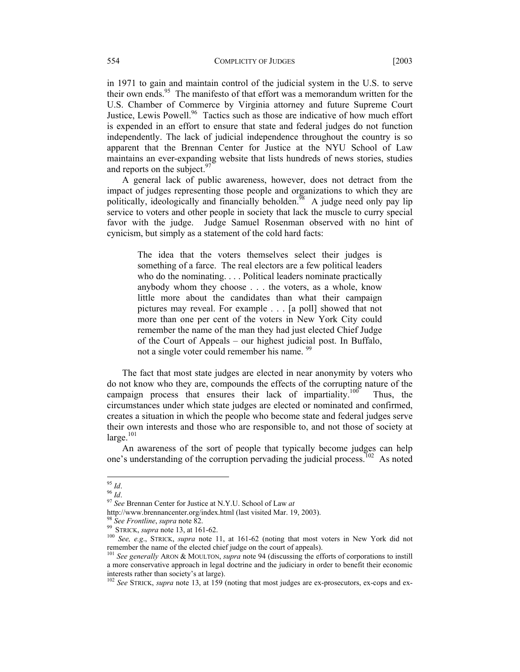in 1971 to gain and maintain control of the judicial system in the U.S. to serve their own ends.<sup>95</sup> The manifesto of that effort was a memorandum written for the U.S. Chamber of Commerce by Virginia attorney and future Supreme Court Justice, Lewis Powell.<sup>96</sup> Tactics such as those are indicative of how much effort is expended in an effort to ensure that state and federal judges do not function independently. The lack of judicial independence throughout the country is so apparent that the Brennan Center for Justice at the NYU School of Law maintains an ever-expanding website that lists hundreds of news stories, studies and reports on the subject.<sup>97</sup>

A general lack of public awareness, however, does not detract from the impact of judges representing those people and organizations to which they are politically, ideologically and financially beholden.<sup> $\overline{98}$ </sup> A judge need only pay lip service to voters and other people in society that lack the muscle to curry special favor with the judge. Judge Samuel Rosenman observed with no hint of cynicism, but simply as a statement of the cold hard facts:

The idea that the voters themselves select their judges is something of a farce. The real electors are a few political leaders who do the nominating. . . . Political leaders nominate practically anybody whom they choose . . . the voters, as a whole, know little more about the candidates than what their campaign pictures may reveal. For example . . . [a poll] showed that not more than one per cent of the voters in New York City could remember the name of the man they had just elected Chief Judge of the Court of Appeals – our highest judicial post. In Buffalo, not a single voter could remember his name. <sup>99</sup>

The fact that most state judges are elected in near anonymity by voters who do not know who they are, compounds the effects of the corrupting nature of the campaign process that ensures their lack of impartiality.<sup>100</sup> Thus, the circumstances under which state judges are elected or nominated and confirmed, creates a situation in which the people who become state and federal judges serve their own interests and those who are responsible to, and not those of society at  $l$ arge. $101$ 

An awareness of the sort of people that typically become judges can help one's understanding of the corruption pervading the judicial process.<sup>102</sup> As noted

 $^{95}$  Id.

<sup>95</sup> *Id*. 96 *Id*. 97 *See* Brennan Center for Justice at N.Y.U. School of Law *at* 

http://www.brennancenter.org/index.html (last visited Mar. 19, 2003).<br><sup>98</sup> See Frontline, supra note 82.<br><sup>99</sup> STRICK, supra note 13, at 161-62.<br><sup>100</sup> See, e.g., STRICK, supra note 11, at 161-62 (noting that most voters in remember the name of the elected chief judge on the court of appeals). 101 *See generally* ARON & MOULTON, *supra* note 94 (discussing the efforts of corporations to instill

a more conservative approach in legal doctrine and the judiciary in order to benefit their economic interests rather than society's at large).

<sup>102</sup> *See* STRICK, *supra* note 13, at 159 (noting that most judges are ex-prosecutors, ex-cops and ex-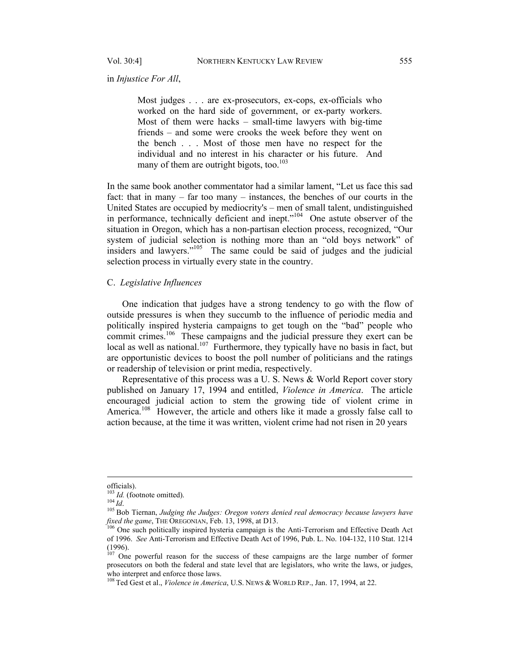Vol. 30:4] NORTHERN KENTUCKY LAW REVIEW 555

in *Injustice For All*,

Most judges . . . are ex-prosecutors, ex-cops, ex-officials who worked on the hard side of government, or ex-party workers. Most of them were hacks – small-time lawyers with big-time friends – and some were crooks the week before they went on the bench . . . Most of those men have no respect for the individual and no interest in his character or his future. And many of them are outright bigots, too. $103$ 

In the same book another commentator had a similar lament, "Let us face this sad fact: that in many – far too many – instances, the benches of our courts in the United States are occupied by mediocrity's – men of small talent, undistinguished in performance, technically deficient and inept."<sup>104</sup> One astute observer of the situation in Oregon, which has a non-partisan election process, recognized, "Our system of judicial selection is nothing more than an "old boys network" of insiders and lawyers."105 The same could be said of judges and the judicial selection process in virtually every state in the country.

### C. *Legislative Influences*

One indication that judges have a strong tendency to go with the flow of outside pressures is when they succumb to the influence of periodic media and politically inspired hysteria campaigns to get tough on the "bad" people who commit crimes.<sup>106</sup> These campaigns and the judicial pressure they exert can be local as well as national.<sup>107</sup> Furthermore, they typically have no basis in fact, but are opportunistic devices to boost the poll number of politicians and the ratings or readership of television or print media, respectively.

Representative of this process was a U. S. News & World Report cover story published on January 17, 1994 and entitled, *Violence in America*. The article encouraged judicial action to stem the growing tide of violent crime in America.<sup>108</sup> However, the article and others like it made a grossly false call to action because, at the time it was written, violent crime had not risen in 20 years

officials).<br> $^{103}$  *Id.* (footnote omitted).

<sup>104. (</sup>Econote omitted).<br><sup>104</sup> *Id.* 105 Bob Tiernan, *Judging the Judges: Oregon voters denied real democracy because lawyers have fixed the game, THE OREGONIAN, Feb. 13, 1998, at D13.* 

<sup>&</sup>lt;sup>6</sup> One such politically inspired hysteria campaign is the Anti-Terrorism and Effective Death Act of 1996. *See* Anti-Terrorism and Effective Death Act of 1996, Pub. L. No. 104-132, 110 Stat. 1214 (1996).

<sup>&</sup>lt;sup>107</sup> One powerful reason for the success of these campaigns are the large number of former prosecutors on both the federal and state level that are legislators, who write the laws, or judges, who interpret and enforce those laws.

<sup>108</sup> Ted Gest et al., *Violence in America*, U.S. NEWS & WORLD REP., Jan. 17, 1994, at 22.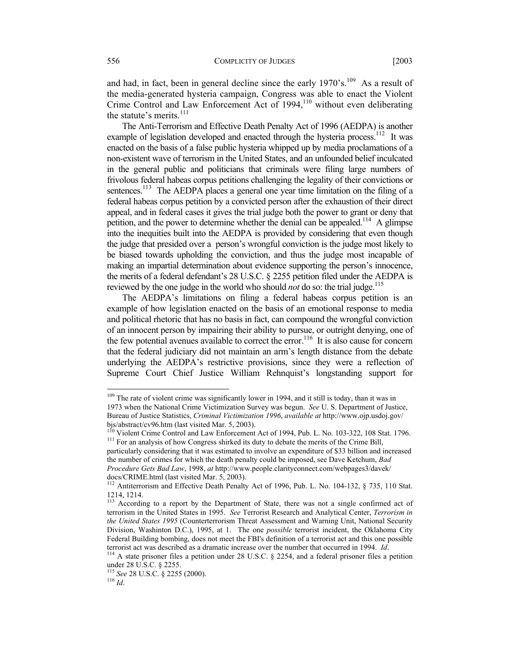and had, in fact, been in general decline since the early  $1970's$ .<sup>109</sup> As a result of the media-generated hysteria campaign, Congress was able to enact the Violent Crime Control and Law Enforcement Act of 1994,<sup>110</sup> without even deliberating the statute's merits.<sup>111</sup>

The Anti-Terrorism and Effective Death Penalty Act of 1996 (AEDPA) is another example of legislation developed and enacted through the hysteria process.<sup>112</sup> It was enacted on the basis of a false public hysteria whipped up by media proclamations of a non-existent wave of terrorism in the United States, and an unfounded belief inculcated in the general public and politicians that criminals were filing large numbers of frivolous federal habeas corpus petitions challenging the legality of their convictions or sentences.<sup>113</sup> The AEDPA places a general one year time limitation on the filing of a federal habeas corpus petition by a convicted person after the exhaustion of their direct appeal, and in federal cases it gives the trial judge both the power to grant or deny that petition, and the power to determine whether the denial can be appealed.<sup>114</sup> A glimpse into the inequities built into the AEDPA is provided by considering that even though the judge that presided over a person's wrongful conviction is the judge most likely to be biased towards upholding the conviction, and thus the judge most incapable of making an impartial determination about evidence supporting the person's innocence, the merits of a federal defendant's 28 U.S.C. § 2255 petition filed under the AEDPA is reviewed by the one judge in the world who should *not* do so: the trial judge.<sup>115</sup>

The AEDPA's limitations on filing a federal habeas corpus petition is an example of how legislation enacted on the basis of an emotional response to media and political rhetoric that has no basis in fact, can compound the wrongful conviction of an innocent person by impairing their ability to pursue, or outright denying, one of the few potential avenues available to correct the error.<sup>116</sup> It is also cause for concern that the federal judiciary did not maintain an arm's length distance from the debate underlying the AEDPA's restrictive provisions, since they were a reflection of Supreme Court Chief Justice William Rehnquist's longstanding support for

<sup>&</sup>lt;sup>109</sup> The rate of violent crime was significantly lower in 1994, and it still is today, than it was in 1973 when the National Crime Victimization Survey was begun. *See* U. S. Department of Justice, Bureau of Justice Statistics, *Criminal Victimization 1996*, *available at* http://www.ojp.usdoj.gov/

 $^{110}$  Violent Crime Control and Law Enforcement Act of 1994, Pub. L. No. 103-322, 108 Stat. 1796.<br><sup>111</sup> For an analysis of how Congress shirked its duty to debate the merits of the Crime Bill,

particularly considering that it was estimated to involve an expenditure of \$33 billion and increased the number of crimes for which the death penalty could be imposed, see Dave Ketchum, *Bad Procedure Gets Bad Law*, 1998, *at* http://www.people.clarityconnect.com/webpages3/davek/ docs/CRIME.html (last visited Mar. 5, 2003).

<sup>&</sup>lt;sup>112</sup> Antiterrorism and Effective Death Penalty Act of 1996, Pub. L. No. 104-132, § 735, 110 Stat. 1214, 1214.

<sup>&</sup>lt;sup>113</sup> According to a report by the Department of State, there was not a single confirmed act of terrorism in the United States in 1995. *See* Terrorist Research and Analytical Center, *Terrorism in the United States 1995* (Counterterrorism Threat Assessment and Warning Unit, National Security Division, Washinton D.C.), 1995, at 1. The one *possible* terrorist incident, the Oklahoma City Federal Building bombing, does not meet the FBI's definition of a terrorist act and this one possible terrorist act was described as a dramatic increase over the number that occurred in 1994. *Id*. <sup>114</sup> A state prisoner files a petition under 28 U.S.C. § 2254, and a federal prisoner files a petition

under 28 U.S.C. § 2255.

<sup>115</sup> *See* 28 U.S.C. § 2255 (2000). 116 *Id*.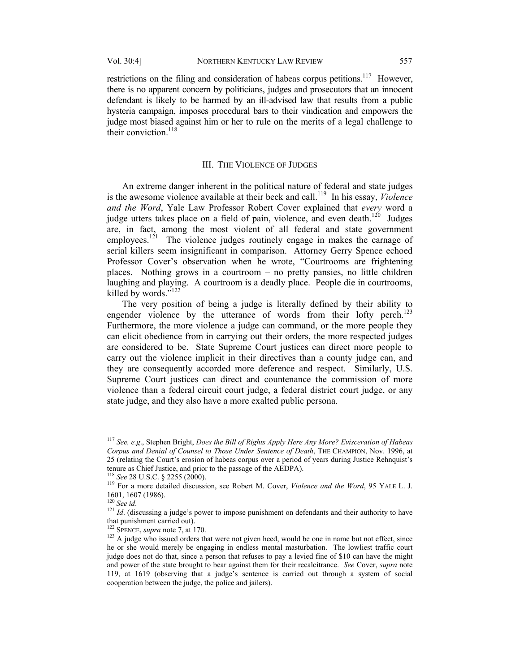restrictions on the filing and consideration of habeas corpus petitions.<sup>117</sup> However,

there is no apparent concern by politicians, judges and prosecutors that an innocent defendant is likely to be harmed by an ill-advised law that results from a public hysteria campaign, imposes procedural bars to their vindication and empowers the judge most biased against him or her to rule on the merits of a legal challenge to their conviction  $118$ 

#### III. THE VIOLENCE OF JUDGES

An extreme danger inherent in the political nature of federal and state judges is the awesome violence available at their beck and call.<sup>119</sup> In his essay, *Violence and the Word*, Yale Law Professor Robert Cover explained that *every* word a judge utters takes place on a field of pain, violence, and even death.<sup>120</sup> Judges are, in fact, among the most violent of all federal and state government employees.<sup>121</sup> The violence judges routinely engage in makes the carnage of serial killers seem insignificant in comparison. Attorney Gerry Spence echoed Professor Cover's observation when he wrote, "Courtrooms are frightening places. Nothing grows in a courtroom – no pretty pansies, no little children laughing and playing. A courtroom is a deadly place. People die in courtrooms, killed by words."<sup>122</sup>

The very position of being a judge is literally defined by their ability to engender violence by the utterance of words from their lofty perch.<sup>123</sup> Furthermore, the more violence a judge can command, or the more people they can elicit obedience from in carrying out their orders, the more respected judges are considered to be. State Supreme Court justices can direct more people to carry out the violence implicit in their directives than a county judge can, and they are consequently accorded more deference and respect. Similarly, U.S. Supreme Court justices can direct and countenance the commission of more violence than a federal circuit court judge, a federal district court judge, or any state judge, and they also have a more exalted public persona.

<sup>117</sup> *See, e.g*., Stephen Bright, *Does the Bill of Rights Apply Here Any More? Evisceration of Habeas Corpus and Denial of Counsel to Those Under Sentence of Death*, THE CHAMPION, Nov. 1996, at 25 (relating the Court's erosion of habeas corpus over a period of years during Justice Rehnquist's tenure as Chief Justice, and prior to the passage of the AEDPA).<br><sup>118</sup> See 28 U.S.C. § 2255 (2000).

<sup>&</sup>lt;sup>119</sup> For a more detailed discussion, see Robert M. Cover, *Violence and the Word*, 95 YALE L. J. 1601, 1607 (1986).<br><sup>120</sup> See id.

<sup>&</sup>lt;sup>121</sup> *Id*. (discussing a judge's power to impose punishment on defendants and their authority to have that punishment carried out).<br> $122$  SPENCE, *supra* note 7, at 170.

<sup>&</sup>lt;sup>123</sup> A judge who issued orders that were not given heed, would be one in name but not effect, since he or she would merely be engaging in endless mental masturbation. The lowliest traffic court judge does not do that, since a person that refuses to pay a levied fine of \$10 can have the might and power of the state brought to bear against them for their recalcitrance. *See* Cover, *supra* note 119, at 1619 (observing that a judge's sentence is carried out through a system of social cooperation between the judge, the police and jailers).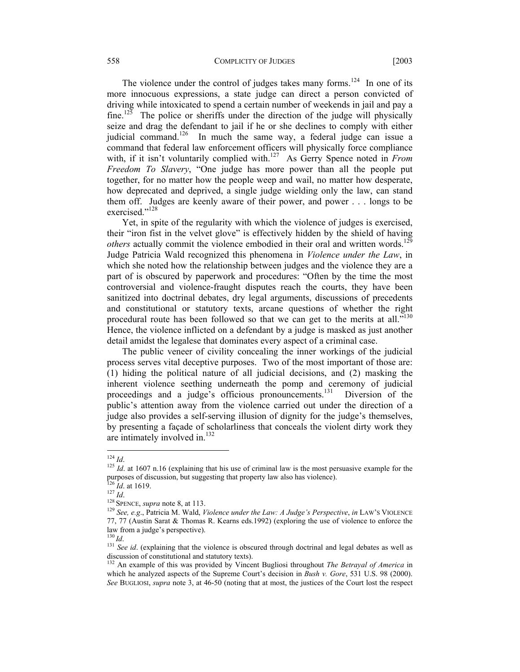#### 558 COMPLICITY OF JUDGES [2003

The violence under the control of judges takes many forms.<sup>124</sup> In one of its more innocuous expressions, a state judge can direct a person convicted of driving while intoxicated to spend a certain number of weekends in jail and pay a fine.<sup>125</sup> The police or sheriffs under the direction of the judge will physically seize and drag the defendant to jail if he or she declines to comply with either judicial command.<sup>126</sup> In much the same way, a federal judge can issue a command that federal law enforcement officers will physically force compliance with, if it isn't voluntarily complied with.<sup>127</sup> As Gerry Spence noted in *From Freedom To Slavery*, "One judge has more power than all the people put together, for no matter how the people weep and wail, no matter how desperate, how deprecated and deprived, a single judge wielding only the law, can stand them off. Judges are keenly aware of their power, and power . . . longs to be exercised."<sup>128</sup>

Yet, in spite of the regularity with which the violence of judges is exercised, their "iron fist in the velvet glove" is effectively hidden by the shield of having *others* actually commit the violence embodied in their oral and written words.<sup>129</sup> Judge Patricia Wald recognized this phenomena in *Violence under the Law*, in which she noted how the relationship between judges and the violence they are a part of is obscured by paperwork and procedures: "Often by the time the most controversial and violence-fraught disputes reach the courts, they have been sanitized into doctrinal debates, dry legal arguments, discussions of precedents and constitutional or statutory texts, arcane questions of whether the right procedural route has been followed so that we can get to the merits at all."<sup>130</sup> Hence, the violence inflicted on a defendant by a judge is masked as just another detail amidst the legalese that dominates every aspect of a criminal case.

The public veneer of civility concealing the inner workings of the judicial process serves vital deceptive purposes. Two of the most important of those are: (1) hiding the political nature of all judicial decisions, and (2) masking the inherent violence seething underneath the pomp and ceremony of judicial proceedings and a judge's officious pronouncements.<sup>131</sup> Diversion of the public's attention away from the violence carried out under the direction of a judge also provides a self-serving illusion of dignity for the judge's themselves, by presenting a façade of scholarliness that conceals the violent dirty work they are intimately involved in. $132$ 

 $124$  *Id.* 

 $125$  *Id.* at 1607 n.16 (explaining that his use of criminal law is the most persuasive example for the purposes of discussion, but suggesting that property law also has violence).<br><sup>126</sup> *Id.* at 1619.<br><sup>127</sup> *Id.*<br><sup>128</sup> SPENCE, *supra* note 8, at 113.<br><sup>128</sup> See, *e.g.*, Patricia M. Wald, *Violence under the Law: A Judge's Pe* 

<sup>77, 77 (</sup>Austin Sarat & Thomas R. Kearns eds.1992) (exploring the use of violence to enforce the law from a judge's perspective).<br> $^{130}$  *Id* 

<sup>&</sup>lt;sup>131</sup> *See id.* (explaining that the violence is obscured through doctrinal and legal debates as well as discussion of constitutional and statutory texts).

<sup>132</sup> An example of this was provided by Vincent Bugliosi throughout *The Betrayal of America* in which he analyzed aspects of the Supreme Court's decision in *Bush v. Gore*, 531 U.S. 98 (2000). *See* BUGLIOSI, *supra* note 3, at 46-50 (noting that at most, the justices of the Court lost the respect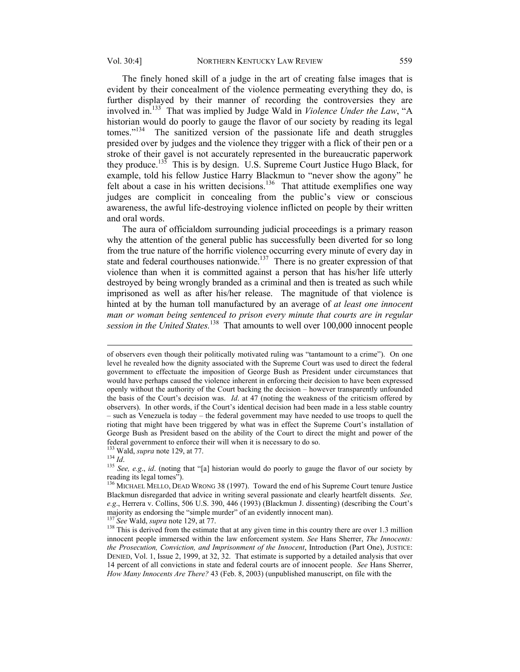The finely honed skill of a judge in the art of creating false images that is evident by their concealment of the violence permeating everything they do, is further displayed by their manner of recording the controversies they are involved in.133 That was implied by Judge Wald in *Violence Under the Law*, "A historian would do poorly to gauge the flavor of our society by reading its legal tomes."<sup>134</sup> The sanitized version of the passionate life and death struggles presided over by judges and the violence they trigger with a flick of their pen or a stroke of their gavel is not accurately represented in the bureaucratic paperwork they produce.135 This is by design. U.S. Supreme Court Justice Hugo Black, for example, told his fellow Justice Harry Blackmun to "never show the agony" he felt about a case in his written decisions.<sup>136</sup> That attitude exemplifies one way judges are complicit in concealing from the public's view or conscious awareness, the awful life-destroying violence inflicted on people by their written and oral words.

The aura of officialdom surrounding judicial proceedings is a primary reason why the attention of the general public has successfully been diverted for so long from the true nature of the horrific violence occurring every minute of every day in state and federal courthouses nationwide.<sup>137</sup> There is no greater expression of that violence than when it is committed against a person that has his/her life utterly destroyed by being wrongly branded as a criminal and then is treated as such while imprisoned as well as after his/her release. The magnitude of that violence is hinted at by the human toll manufactured by an average of *at least one innocent*  man or woman being sentenced to prison every minute that courts are in regular *session in the United States.*138 That amounts to well over 100,000 innocent people

of observers even though their politically motivated ruling was "tantamount to a crime"). On one level he revealed how the dignity associated with the Supreme Court was used to direct the federal government to effectuate the imposition of George Bush as President under circumstances that would have perhaps caused the violence inherent in enforcing their decision to have been expressed openly without the authority of the Court backing the decision – however transparently unfounded the basis of the Court's decision was. *Id*. at 47 (noting the weakness of the criticism offered by observers). In other words, if the Court's identical decision had been made in a less stable country – such as Venezuela is today – the federal government may have needed to use troops to quell the rioting that might have been triggered by what was in effect the Supreme Court's installation of George Bush as President based on the ability of the Court to direct the might and power of the federal government to enforce their will when it is necessary to do so.<br><sup>133</sup> Wald, *supra* note 129, at 77.

<sup>134</sup> *Id.* 135 See, e.g., *id.* (noting that "[a] historian would do poorly to gauge the flavor of our society by 1<sup>35</sup> See, e.g., *id.* (noting that "[a] historian would do poorly to gauge the flavor of our society by reading its legal tomes").

<sup>&</sup>lt;sup>136</sup> MICHAEL MELLO, DEAD WRONG 38 (1997). Toward the end of his Supreme Court tenure Justice Blackmun disregarded that advice in writing several passionate and clearly heartfelt dissents. *See, e.g*., Herrera v. Collins, 506 U.S. 390, 446 (1993) (Blackmun J. dissenting) (describing the Court's majority as endorsing the "simple murder" of an evidently innocent man).<br><sup>137</sup> See Wald, *supra* note 129, at 77.<br><sup>138</sup> This is derived from the estimate that at any given time in this country there are over 1.3 million

innocent people immersed within the law enforcement system. *See* Hans Sherrer, *The Innocents: the Prosecution, Conviction, and Imprisonment of the Innocent*, Introduction (Part One), JUSTICE: DENIED, Vol. 1, Issue 2, 1999, at 32, 32. That estimate is supported by a detailed analysis that over 14 percent of all convictions in state and federal courts are of innocent people. *See* Hans Sherrer, *How Many Innocents Are There?* 43 (Feb. 8, 2003) (unpublished manuscript, on file with the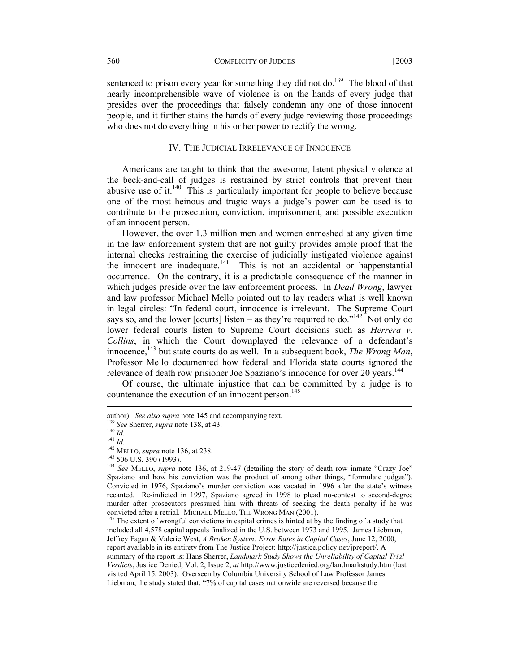#### 560 COMPLICITY OF JUDGES [2003

sentenced to prison every year for something they did not do.<sup>139</sup> The blood of that nearly incomprehensible wave of violence is on the hands of every judge that presides over the proceedings that falsely condemn any one of those innocent people, and it further stains the hands of every judge reviewing those proceedings who does not do everything in his or her power to rectify the wrong.

#### IV. THE JUDICIAL IRRELEVANCE OF INNOCENCE

Americans are taught to think that the awesome, latent physical violence at the beck-and-call of judges is restrained by strict controls that prevent their abusive use of it.<sup>140</sup> This is particularly important for people to believe because one of the most heinous and tragic ways a judge's power can be used is to contribute to the prosecution, conviction, imprisonment, and possible execution of an innocent person.

However, the over 1.3 million men and women enmeshed at any given time in the law enforcement system that are not guilty provides ample proof that the internal checks restraining the exercise of judicially instigated violence against the innocent are inadequate.<sup>141</sup> This is not an accidental or happenstantial occurrence. On the contrary, it is a predictable consequence of the manner in which judges preside over the law enforcement process. In *Dead Wrong*, lawyer and law professor Michael Mello pointed out to lay readers what is well known in legal circles: "In federal court, innocence is irrelevant. The Supreme Court says so, and the lower [courts] listen – as they're required to do."<sup>142</sup> Not only do lower federal courts listen to Supreme Court decisions such as *Herrera v. Collins*, in which the Court downplayed the relevance of a defendant's innocence,<sup>143</sup> but state courts do as well. In a subsequent book, *The Wrong Man*, Professor Mello documented how federal and Florida state courts ignored the relevance of death row prisioner Joe Spaziano's innocence for over 20 years.<sup>144</sup>

Of course, the ultimate injustice that can be committed by a judge is to countenance the execution of an innocent person.<sup>145</sup>

author). *See also supra* note 145 and accompanying text.<br>
<sup>139</sup> *See* Sherrer, *supra* note 138, at 43.<br>
<sup>140</sup> *Id.*<br>
<sup>141</sup> *Id.*<br>
<sup>142</sup> MELLO, *supra* note 136, at 238.<br>
<sup>143</sup> 506 U.S. 390 (1993).<br>
<sup>144</sup> *See* MELLO, *su* Spaziano and how his conviction was the product of among other things, "formulaic judges"). Convicted in 1976, Spaziano's murder conviction was vacated in 1996 after the state's witness recanted. Re-indicted in 1997, Spaziano agreed in 1998 to plead no-contest to second-degree murder after prosecutors pressured him with threats of seeking the death penalty if he was convicted after a retrial. MICHAEL MELLO, THE WRONG MAN (2001).<br><sup>145</sup> The extent of wrongful convictions in capital crimes is hinted at by the finding of a study that

included all 4,578 capital appeals finalized in the U.S. between 1973 and 1995. James Liebman, Jeffrey Fagan & Valerie West, *A Broken System: Error Rates in Capital Cases*, June 12, 2000, report available in its entirety from The Justice Project: http://justice.policy.net/jpreport/. A summary of the report is: Hans Sherrer, *Landmark Study Shows the Unreliability of Capital Trial Verdicts*, Justice Denied, Vol. 2, Issue 2, *at* http://www.justicedenied.org/landmarkstudy.htm (last visited April 15, 2003). Overseen by Columbia University School of Law Professor James Liebman, the study stated that, "7% of capital cases nationwide are reversed because the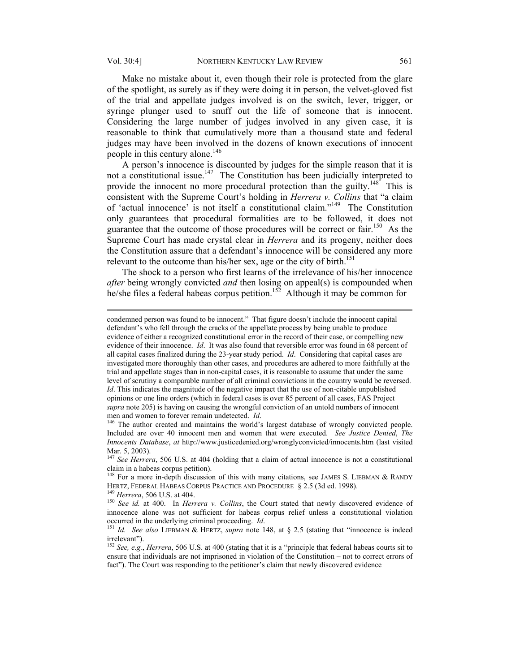$\overline{a}$ 

Make no mistake about it, even though their role is protected from the glare of the spotlight, as surely as if they were doing it in person, the velvet-gloved fist of the trial and appellate judges involved is on the switch, lever, trigger, or syringe plunger used to snuff out the life of someone that is innocent. Considering the large number of judges involved in any given case, it is reasonable to think that cumulatively more than a thousand state and federal judges may have been involved in the dozens of known executions of innocent people in this century alone.<sup>146</sup>

A person's innocence is discounted by judges for the simple reason that it is not a constitutional issue.<sup>147</sup> The Constitution has been judicially interpreted to provide the innocent no more procedural protection than the guilty.<sup>148</sup> This is consistent with the Supreme Court's holding in *Herrera v. Collins* that "a claim of 'actual innocence' is not itself a constitutional claim."149 The Constitution only guarantees that procedural formalities are to be followed, it does not guarantee that the outcome of those procedures will be correct or fair.<sup>150</sup> As the Supreme Court has made crystal clear in *Herrera* and its progeny, neither does the Constitution assure that a defendant's innocence will be considered any more relevant to the outcome than his/her sex, age or the city of birth.<sup>151</sup>

The shock to a person who first learns of the irrelevance of his/her innocence *after* being wrongly convicted *and* then losing on appeal(s) is compounded when he/she files a federal habeas corpus petition.<sup>152</sup> Although it may be common for

condemned person was found to be innocent." That figure doesn't include the innocent capital defendant's who fell through the cracks of the appellate process by being unable to produce evidence of either a recognized constitutional error in the record of their case, or compelling new evidence of their innocence. *Id*. It was also found that reversible error was found in 68 percent of all capital cases finalized during the 23-year study period. *Id*. Considering that capital cases are investigated more thoroughly than other cases, and procedures are adhered to more faithfully at the trial and appellate stages than in non-capital cases, it is reasonable to assume that under the same level of scrutiny a comparable number of all criminal convictions in the country would be reversed. *Id*. This indicates the magnitude of the negative impact that the use of non-citable unpublished opinions or one line orders (which in federal cases is over 85 percent of all cases, FAS Project *supra* note 205) is having on causing the wrongful conviction of an untold numbers of innocent

men and women to forever remain undetected. *Id*. <sup>146</sup> The author created and maintains the world's largest database of wrongly convicted people. Included are over 40 innocent men and women that were executed. *See Justice Denied*, *The Innocents Database*, *at* http://www.justicedenied.org/wronglyconvicted/innocents.htm (last visited Mar. 5, 2003).

<sup>&</sup>lt;sup>147</sup> *See Herrera*, 506 U.S. at 404 (holding that a claim of actual innocence is not a constitutional claim in a habeas corpus petition).

<sup>&</sup>lt;sup>148</sup> For a more in-depth discussion of this with many citations, see JAMES S. LIEBMAN & RANDY HERTZ, FEDERAL HABEAS CORPUS PRACTICE AND PROCEDURE § 2.5 (3d ed. 1998).<br><sup>149</sup> *Herrera*, 506 U.S. at 404.<br><sup>150</sup> *See id.* at 400. In *Herrera v. Collins*, the Court stated that newly discovered evidence of

innocence alone was not sufficient for habeas corpus relief unless a constitutional violation occurred in the underlying criminal proceeding. *Id.* 151 *Id.* See also LIEBMAN & HERTZ, *supra* note 148, at § 2.5 (stating that "innocence is indeed

irrelevant").

<sup>152</sup> *See, e.g.*, *Herrera*, 506 U.S. at 400 (stating that it is a "principle that federal habeas courts sit to ensure that individuals are not imprisoned in violation of the Constitution – not to correct errors of fact"). The Court was responding to the petitioner's claim that newly discovered evidence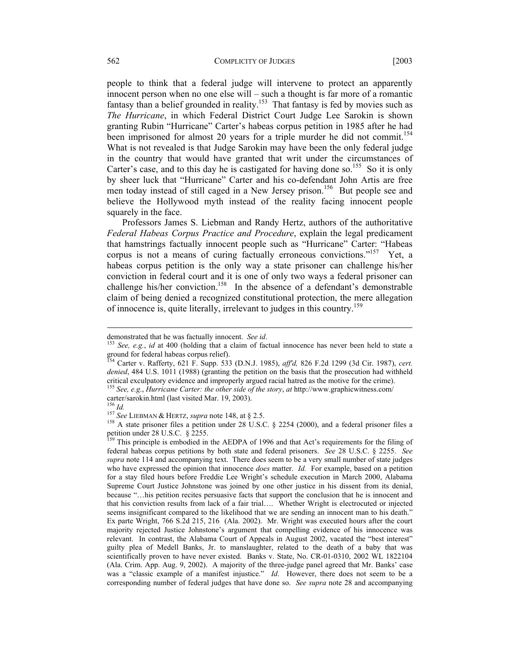people to think that a federal judge will intervene to protect an apparently innocent person when no one else will – such a thought is far more of a romantic fantasy than a belief grounded in reality.<sup>153</sup> That fantasy is fed by movies such as *The Hurricane*, in which Federal District Court Judge Lee Sarokin is shown granting Rubin "Hurricane" Carter's habeas corpus petition in 1985 after he had been imprisoned for almost 20 years for a triple murder he did not commit.<sup>154</sup> What is not revealed is that Judge Sarokin may have been the only federal judge in the country that would have granted that writ under the circumstances of Carter's case, and to this day he is castigated for having done so.<sup>155</sup> So it is only by sheer luck that "Hurricane" Carter and his co-defendant John Artis are free men today instead of still caged in a New Jersey prison.<sup>156</sup> But people see and believe the Hollywood myth instead of the reality facing innocent people squarely in the face.

Professors James S. Liebman and Randy Hertz, authors of the authoritative *Federal Habeas Corpus Practice and Procedure*, explain the legal predicament that hamstrings factually innocent people such as "Hurricane" Carter: "Habeas corpus is not a means of curing factually erroneous convictions."<sup>157</sup> Yet, a habeas corpus petition is the only way a state prisoner can challenge his/her conviction in federal court and it is one of only two ways a federal prisoner can challenge his/her conviction.<sup>158</sup> In the absence of a defendant's demonstrable claim of being denied a recognized constitutional protection, the mere allegation of innocence is, quite literally, irrelevant to judges in this country.159

demonstrated that he was factually innocent. *See id*.<br><sup>153</sup> *See, e.g., id* at 400 (holding that a claim of factual innocence has never been held to state a ground for federal habeas corpus relief).

<sup>154</sup> Carter v. Rafferty, 621 F. Supp. 533 (D.N.J. 1985), *aff'd,* 826 F.2d 1299 (3d Cir. 1987), *cert. denied*, 484 U.S. 1011 (1988) (granting the petition on the basis that the prosecution had withheld critical exculpatory evidence and improperly argued racial hatred as the motive for the crime).

<sup>155</sup> *See, e.g*., *Hurricane Carter: the other side of the story*, *at* http://www.graphicwitness.com/ carter/sarokin.html (last visited Mar. 19, 2003).<br> $^{156}$  *Id* 

<sup>&</sup>lt;sup>157</sup> *See* LIEBMAN & HERTZ, *supra* note 148, at § 2.5.<br><sup>158</sup> A state prisoner files a petition under 28 U.S.C. § 2254 (2000), and a federal prisoner files a petition under 28 U.S.C.  $\frac{1}{2}$  2255.

<sup>159</sup> This principle is embodied in the AEDPA of 1996 and that Act's requirements for the filing of federal habeas corpus petitions by both state and federal prisoners. *See* 28 U.S.C. § 2255. *See supra* note 114 and accompanying text. There does seem to be a very small number of state judges who have expressed the opinion that innocence *does* matter. *Id.* For example, based on a petition for a stay filed hours before Freddie Lee Wright's schedule execution in March 2000, Alabama Supreme Court Justice Johnstone was joined by one other justice in his dissent from its denial, because "…his petition recites persuasive facts that support the conclusion that he is innocent and that his conviction results from lack of a fair trial…. Whether Wright is electrocuted or injected seems insignificant compared to the likelihood that we are sending an innocent man to his death." Ex parte Wright, 766 S.2d 215, 216 (Ala. 2002). Mr. Wright was executed hours after the court majority rejected Justice Johnstone's argument that compelling evidence of his innocence was relevant. In contrast, the Alabama Court of Appeals in August 2002, vacated the "best interest" guilty plea of Medell Banks, Jr. to manslaughter, related to the death of a baby that was scientifically proven to have never existed. Banks v. State, No. CR-01-0310, 2002 WL 1822104 (Ala. Crim. App. Aug. 9, 2002). A majority of the three-judge panel agreed that Mr. Banks' case was a "classic example of a manifest injustice." *Id*. However, there does not seem to be a corresponding number of federal judges that have done so. *See supra* note 28 and accompanying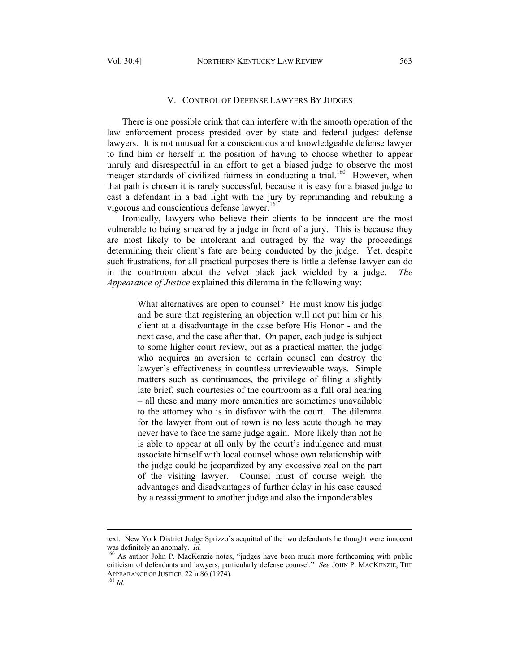#### V. CONTROL OF DEFENSE LAWYERS BY JUDGES

There is one possible crink that can interfere with the smooth operation of the law enforcement process presided over by state and federal judges: defense lawyers. It is not unusual for a conscientious and knowledgeable defense lawyer to find him or herself in the position of having to choose whether to appear unruly and disrespectful in an effort to get a biased judge to observe the most meager standards of civilized fairness in conducting a trial.<sup>160</sup> However, when that path is chosen it is rarely successful, because it is easy for a biased judge to cast a defendant in a bad light with the jury by reprimanding and rebuking a vigorous and conscientious defense lawyer.<sup>161</sup>

Ironically, lawyers who believe their clients to be innocent are the most vulnerable to being smeared by a judge in front of a jury. This is because they are most likely to be intolerant and outraged by the way the proceedings determining their client's fate are being conducted by the judge. Yet, despite such frustrations, for all practical purposes there is little a defense lawyer can do in the courtroom about the velvet black jack wielded by a judge. *The Appearance of Justice* explained this dilemma in the following way:

What alternatives are open to counsel? He must know his judge and be sure that registering an objection will not put him or his client at a disadvantage in the case before His Honor - and the next case, and the case after that. On paper, each judge is subject to some higher court review, but as a practical matter, the judge who acquires an aversion to certain counsel can destroy the lawyer's effectiveness in countless unreviewable ways. Simple matters such as continuances, the privilege of filing a slightly late brief, such courtesies of the courtroom as a full oral hearing – all these and many more amenities are sometimes unavailable to the attorney who is in disfavor with the court. The dilemma for the lawyer from out of town is no less acute though he may never have to face the same judge again. More likely than not he is able to appear at all only by the court's indulgence and must associate himself with local counsel whose own relationship with the judge could be jeopardized by any excessive zeal on the part of the visiting lawyer. Counsel must of course weigh the advantages and disadvantages of further delay in his case caused by a reassignment to another judge and also the imponderables

text. New York District Judge Sprizzo's acquittal of the two defendants he thought were innocent was definitely an anomaly.  $Id$ .

<sup>&</sup>lt;sup>160</sup> As author John P. MacKenzie notes, "judges have been much more forthcoming with public criticism of defendants and lawyers, particularly defense counsel." *See* JOHN P. MACKENZIE, THE APPEARANCE OF JUSTICE 22 n.86 (1974). 161 *Id*.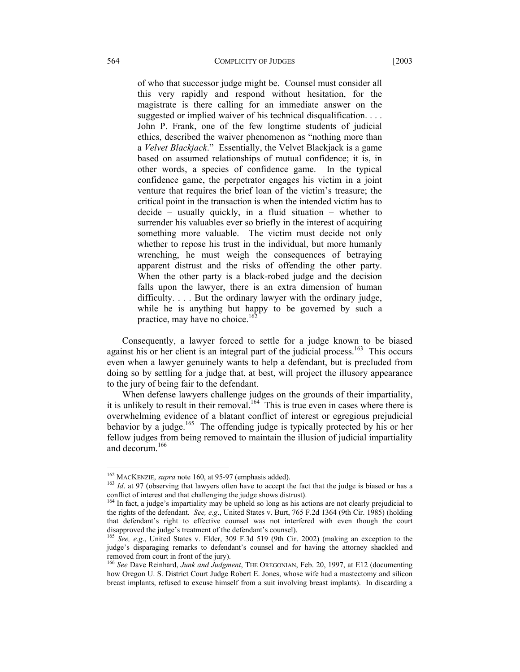of who that successor judge might be. Counsel must consider all this very rapidly and respond without hesitation, for the magistrate is there calling for an immediate answer on the suggested or implied waiver of his technical disqualification. . . . John P. Frank, one of the few longtime students of judicial ethics, described the waiver phenomenon as "nothing more than a *Velvet Blackjack*." Essentially, the Velvet Blackjack is a game based on assumed relationships of mutual confidence; it is, in other words, a species of confidence game. In the typical confidence game, the perpetrator engages his victim in a joint venture that requires the brief loan of the victim's treasure; the critical point in the transaction is when the intended victim has to decide – usually quickly, in a fluid situation – whether to surrender his valuables ever so briefly in the interest of acquiring something more valuable. The victim must decide not only whether to repose his trust in the individual, but more humanly wrenching, he must weigh the consequences of betraying apparent distrust and the risks of offending the other party. When the other party is a black-robed judge and the decision falls upon the lawyer, there is an extra dimension of human difficulty. . . . But the ordinary lawyer with the ordinary judge, while he is anything but happy to be governed by such a practice, may have no choice. $162$ 

Consequently, a lawyer forced to settle for a judge known to be biased against his or her client is an integral part of the judicial process.<sup>163</sup> This occurs even when a lawyer genuinely wants to help a defendant, but is precluded from doing so by settling for a judge that, at best, will project the illusory appearance to the jury of being fair to the defendant.

When defense lawyers challenge judges on the grounds of their impartiality, it is unlikely to result in their removal.<sup>164</sup> This is true even in cases where there is overwhelming evidence of a blatant conflict of interest or egregious prejudicial behavior by a judge.<sup>165</sup> The offending judge is typically protected by his or her fellow judges from being removed to maintain the illusion of judicial impartiality and decorum.166

<sup>&</sup>lt;sup>162</sup> MACKENZIE, *supra* note 160, at 95-97 (emphasis added).<br><sup>163</sup> *Id*. at 97 (observing that lawyers often have to accept the fact that the judge is biased or has a conflict of interest and that challenging the judge sh

<sup>&</sup>lt;sup>164</sup> In fact, a judge's impartiality may be upheld so long as his actions are not clearly prejudicial to the rights of the defendant. *See, e.g*., United States v. Burt, 765 F.2d 1364 (9th Cir. 1985) (holding that defendant's right to effective counsel was not interfered with even though the court disapproved the judge's treatment of the defendant's counsel). 165 *See, e.g*., United States v. Elder, 309 F.3d 519 (9th Cir. 2002) (making an exception to the

judge's disparaging remarks to defendant's counsel and for having the attorney shackled and removed from court in front of the jury).

<sup>166</sup> *See* Dave Reinhard, *Junk and Judgment*, THE OREGONIAN, Feb. 20, 1997, at E12 (documenting how Oregon U. S. District Court Judge Robert E. Jones, whose wife had a mastectomy and silicon breast implants, refused to excuse himself from a suit involving breast implants). In discarding a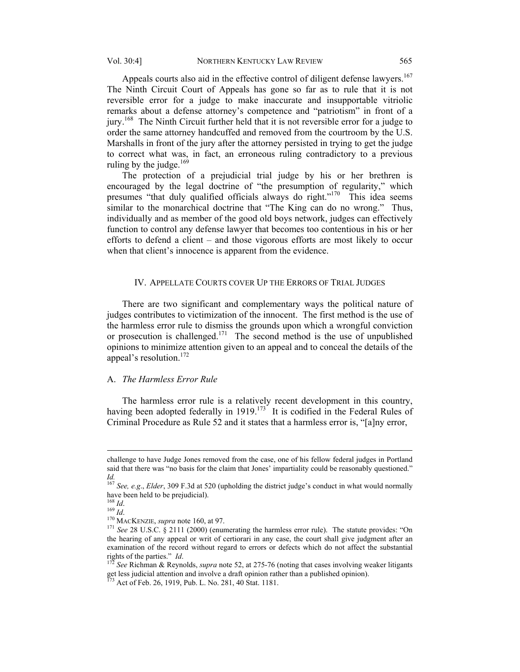Appeals courts also aid in the effective control of diligent defense lawyers.<sup>167</sup> The Ninth Circuit Court of Appeals has gone so far as to rule that it is not reversible error for a judge to make inaccurate and insupportable vitriolic remarks about a defense attorney's competence and "patriotism" in front of a jury.<sup>168</sup> The Ninth Circuit further held that it is not reversible error for a judge to order the same attorney handcuffed and removed from the courtroom by the U.S.

Marshalls in front of the jury after the attorney persisted in trying to get the judge to correct what was, in fact, an erroneous ruling contradictory to a previous ruling by the judge. $169$ 

The protection of a prejudicial trial judge by his or her brethren is encouraged by the legal doctrine of "the presumption of regularity," which presumes "that duly qualified officials always do right."<sup>170</sup> This idea seems similar to the monarchical doctrine that "The King can do no wrong." Thus, individually and as member of the good old boys network, judges can effectively function to control any defense lawyer that becomes too contentious in his or her efforts to defend a client – and those vigorous efforts are most likely to occur when that client's innocence is apparent from the evidence.

### IV. APPELLATE COURTS COVER UP THE ERRORS OF TRIAL JUDGES

There are two significant and complementary ways the political nature of judges contributes to victimization of the innocent. The first method is the use of the harmless error rule to dismiss the grounds upon which a wrongful conviction or prosecution is challenged.<sup>171</sup> The second method is the use of unpublished opinions to minimize attention given to an appeal and to conceal the details of the appeal's resolution.172

#### A. *The Harmless Error Rule*

The harmless error rule is a relatively recent development in this country, having been adopted federally in 1919.<sup>173</sup> It is codified in the Federal Rules of Criminal Procedure as Rule 52 and it states that a harmless error is, "[a]ny error,

challenge to have Judge Jones removed from the case, one of his fellow federal judges in Portland said that there was "no basis for the claim that Jones' impartiality could be reasonably questioned." *Id.*

<sup>167</sup> *See, e.g*., *Elder*, 309 F.3d at 520 (upholding the district judge's conduct in what would normally have been held to be prejudicial).<br> $^{168}$  *Id*.

<sup>169</sup> *Id.*<br><sup>170</sup> MACKENZIE, *supra* note 160, at 97.<br><sup>171</sup> *See* 28 U.S.C. § 2111 (2000) (enumerating the harmless error rule). The statute provides: "On the hearing of any appeal or writ of certiorari in any case, the court shall give judgment after an examination of the record without regard to errors or defects which do not affect the substantial rights of the parties." *Id*. 172 *See* Richman & Reynolds, *supra* note 52, at 275-76 (noting that cases involving weaker litigants

get less judicial attention and involve a draft opinion rather than a published opinion). 173 Act of Feb. 26, 1919, Pub. L. No. 281, 40 Stat. 1181.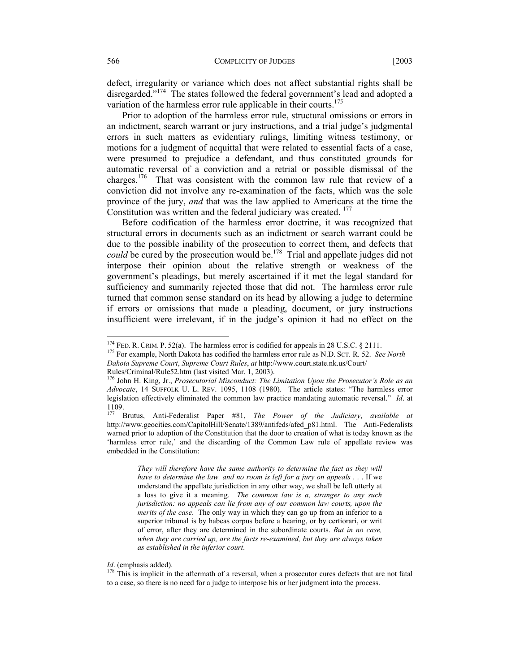defect, irregularity or variance which does not affect substantial rights shall be disregarded."<sup>174</sup> The states followed the federal government's lead and adopted a variation of the harmless error rule applicable in their courts.<sup>175</sup>

Prior to adoption of the harmless error rule, structural omissions or errors in an indictment, search warrant or jury instructions, and a trial judge's judgmental errors in such matters as evidentiary rulings, limiting witness testimony, or motions for a judgment of acquittal that were related to essential facts of a case, were presumed to prejudice a defendant, and thus constituted grounds for automatic reversal of a conviction and a retrial or possible dismissal of the charges.176 That was consistent with the common law rule that review of a conviction did not involve any re-examination of the facts, which was the sole province of the jury, *and* that was the law applied to Americans at the time the Constitution was written and the federal judiciary was created. <sup>177</sup>

Before codification of the harmless error doctrine, it was recognized that structural errors in documents such as an indictment or search warrant could be due to the possible inability of the prosecution to correct them, and defects that *could* be cured by the prosecution would be.<sup>178</sup> Trial and appellate judges did not interpose their opinion about the relative strength or weakness of the government's pleadings, but merely ascertained if it met the legal standard for sufficiency and summarily rejected those that did not. The harmless error rule turned that common sense standard on its head by allowing a judge to determine if errors or omissions that made a pleading, document, or jury instructions insufficient were irrelevant, if in the judge's opinion it had no effect on the

- <sup>175</sup> For example, North Dakota has codified the harmless error rule as N.D. SCT. R. 52. *See North*
- *Dakota Supreme Court*, *Supreme Court Rules*, *at* http://www.court.state.nk.us/Court/

*They will therefore have the same authority to determine the fact as they will have to determine the law, and no room is left for a jury on appeals* . . . If we understand the appellate jurisdiction in any other way, we shall be left utterly at a loss to give it a meaning. *The common law is a, stranger to any such jurisdiction: no appeals can lie from any of our common law courts, upon the merits of the case*. The only way in which they can go up from an inferior to a superior tribunal is by habeas corpus before a hearing, or by certiorari, or writ of error, after they are determined in the subordinate courts. *But in no case, when they are carried up, are the facts re-examined, but they are always taken as established in the inferior court*.

*Id*. (emphasis added).<br><sup>178</sup> This is implicit in the aftermath of a reversal, when a prosecutor cures defects that are not fatal to a case, so there is no need for a judge to interpose his or her judgment into the process.

<sup>&</sup>lt;sup>174</sup> FED. R. CRIM. P. 52(a). The harmless error is codified for appeals in 28 U.S.C. § 2111.

Rules/Criminal/Rule52.htm (last visited Mar. 1, 2003).<br><sup>176</sup> John H. King, Jr., *Prosecutorial Misconduct: The Limitation Upon the Prosecutor's Role as an Advocate*, 14 SUFFOLK U. L. REV. 1095, 1108 (1980). The article states: "The harmless error legislation effectively eliminated the common law practice mandating automatic reversal." *Id*. at 1109.

<sup>177</sup> Brutus, Anti-Federalist Paper #81, *The Power of the Judiciary*, *available at* http://www.geocities.com/CapitolHill/Senate/1389/antifeds/afed\_p81.html. The Anti-Federalists warned prior to adoption of the Constitution that the door to creation of what is today known as the 'harmless error rule,' and the discarding of the Common Law rule of appellate review was embedded in the Constitution: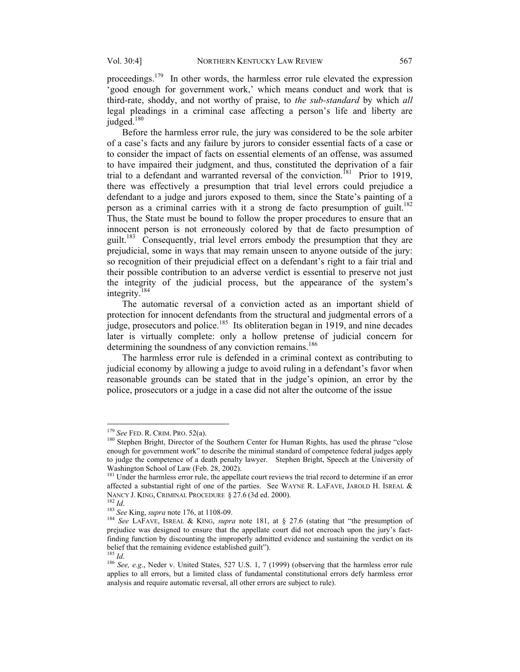proceedings.<sup>179</sup> In other words, the harmless error rule elevated the expression 'good enough for government work,' which means conduct and work that is third-rate, shoddy, and not worthy of praise, to *the sub-standard* by which *all* legal pleadings in a criminal case affecting a person's life and liberty are judged. $180$ 

Before the harmless error rule, the jury was considered to be the sole arbiter of a case's facts and any failure by jurors to consider essential facts of a case or to consider the impact of facts on essential elements of an offense, was assumed to have impaired their judgment, and thus, constituted the deprivation of a fair trial to a defendant and warranted reversal of the conviction.<sup>181</sup> Prior to 1919, there was effectively a presumption that trial level errors could prejudice a defendant to a judge and jurors exposed to them, since the State's painting of a person as a criminal carries with it a strong de facto presumption of guilt.<sup>182</sup> Thus, the State must be bound to follow the proper procedures to ensure that an innocent person is not erroneously colored by that de facto presumption of guilt.<sup>183</sup> Consequently, trial level errors embody the presumption that they are prejudicial, some in ways that may remain unseen to anyone outside of the jury: so recognition of their prejudicial effect on a defendant's right to a fair trial and their possible contribution to an adverse verdict is essential to preserve not just the integrity of the judicial process, but the appearance of the system's integrity.184

The automatic reversal of a conviction acted as an important shield of protection for innocent defendants from the structural and judgmental errors of a judge, prosecutors and police.185 Its obliteration began in 1919, and nine decades later is virtually complete: only a hollow pretense of judicial concern for determining the soundness of any conviction remains.<sup>186</sup>

The harmless error rule is defended in a criminal context as contributing to judicial economy by allowing a judge to avoid ruling in a defendant's favor when reasonable grounds can be stated that in the judge's opinion, an error by the police, prosecutors or a judge in a case did not alter the outcome of the issue

<sup>&</sup>lt;sup>179</sup> *See* FED. R. CRIM. PRO. 52(a).<br><sup>180</sup> Stephen Bright, Director of the Southern Center for Human Rights, has used the phrase "close enough for government work" to describe the minimal standard of competence federal judges apply to judge the competence of a death penalty lawyer. Stephen Bright, Speech at the University of Washington School of Law (Feb. 28, 2002).

<sup>&</sup>lt;sup>181</sup> Under the harmless error rule, the appellate court reviews the trial record to determine if an error affected a substantial right of one of the parties. See WAYNE R. LAFAVE, JAROLD H. ISREAL  $\&$ NANCY J. KING, CRIMINAL PROCEDURE § 27.6 (3d ed. 2000).<br><sup>182</sup> *Id.*<br><sup>183</sup> See King, supra note 176, at 1108-09.<br><sup>184</sup> See LAFAVE, ISREAL & KING, *supra* note 181, at § 27.6 (stating that "the presumption of

prejudice was designed to ensure that the appellate court did not encroach upon the jury's factfinding function by discounting the improperly admitted evidence and sustaining the verdict on its belief that the remaining evidence established guilt").  $^{185}$  *Id.* 

<sup>&</sup>lt;sup>186</sup> *See, e.g.*, Neder v. United States, 527 U.S. 1, 7 (1999) (observing that the harmless error rule applies to all errors, but a limited class of fundamental constitutional errors defy harmless error analysis and require automatic reversal, all other errors are subject to rule).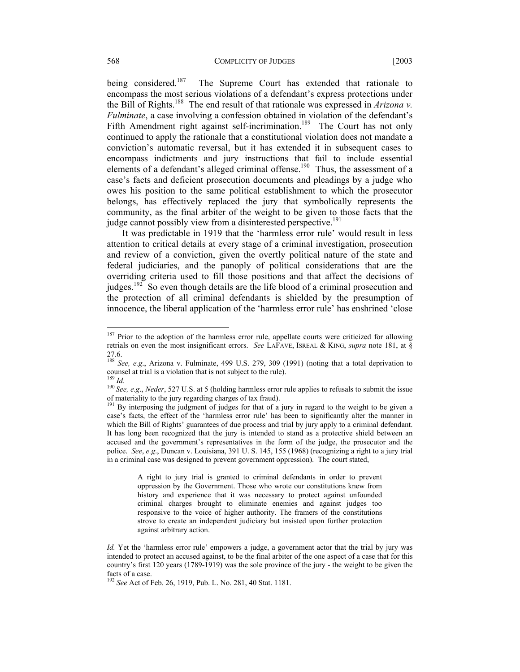#### 568 COMPLICITY OF JUDGES [2003

being considered.<sup>187</sup> The Supreme Court has extended that rationale to encompass the most serious violations of a defendant's express protections under the Bill of Rights.188 The end result of that rationale was expressed in *Arizona v. Fulminate*, a case involving a confession obtained in violation of the defendant's Fifth Amendment right against self-incrimination.<sup>189</sup> The Court has not only continued to apply the rationale that a constitutional violation does not mandate a conviction's automatic reversal, but it has extended it in subsequent cases to encompass indictments and jury instructions that fail to include essential elements of a defendant's alleged criminal offense.<sup>190</sup> Thus, the assessment of a case's facts and deficient prosecution documents and pleadings by a judge who owes his position to the same political establishment to which the prosecutor belongs, has effectively replaced the jury that symbolically represents the community, as the final arbiter of the weight to be given to those facts that the judge cannot possibly view from a disinterested perspective.<sup>191</sup>

It was predictable in 1919 that the 'harmless error rule' would result in less attention to critical details at every stage of a criminal investigation, prosecution and review of a conviction, given the overtly political nature of the state and federal judiciaries, and the panoply of political considerations that are the overriding criteria used to fill those positions and that affect the decisions of judges.<sup>192</sup> So even though details are the life blood of a criminal prosecution and the protection of all criminal defendants is shielded by the presumption of innocence, the liberal application of the 'harmless error rule' has enshrined 'close

A right to jury trial is granted to criminal defendants in order to prevent oppression by the Government. Those who wrote our constitutions knew from history and experience that it was necessary to protect against unfounded criminal charges brought to eliminate enemies and against judges too responsive to the voice of higher authority. The framers of the constitutions strove to create an independent judiciary but insisted upon further protection against arbitrary action.

<sup>&</sup>lt;sup>187</sup> Prior to the adoption of the harmless error rule, appellate courts were criticized for allowing retrials on even the most insignificant errors. *See* LAFAVE, ISREAL & KING, *supra* note 181, at § 27.6.

<sup>188</sup> *See, e.g*., Arizona v. Fulminate, 499 U.S. 279, 309 (1991) (noting that a total deprivation to counsel at trial is a violation that is not subject to the rule).<br><sup>189</sup> *Id*. <sup>190</sup> *See, e.g., Neder,* 527 U.S. at 5 (holding harmless error rule applies to refusals to submit the issue

of materiality to the jury regarding charges of tax fraud).

By interposing the judgment of judges for that of a jury in regard to the weight to be given a case's facts, the effect of the 'harmless error rule' has been to significantly alter the manner in which the Bill of Rights' guarantees of due process and trial by jury apply to a criminal defendant. It has long been recognized that the jury is intended to stand as a protective shield between an accused and the government's representatives in the form of the judge, the prosecutor and the police. *See*, *e.g*., Duncan v. Louisiana, 391 U. S. 145, 155 (1968) (recognizing a right to a jury trial in a criminal case was designed to prevent government oppression). The court stated,

*Id.* Yet the 'harmless error rule' empowers a judge, a government actor that the trial by jury was intended to protect an accused against, to be the final arbiter of the one aspect of a case that for this country's first 120 years (1789-1919) was the sole province of the jury - the weight to be given the facts of a case.

<sup>192</sup> *See* Act of Feb. 26, 1919, Pub. L. No. 281, 40 Stat. 1181.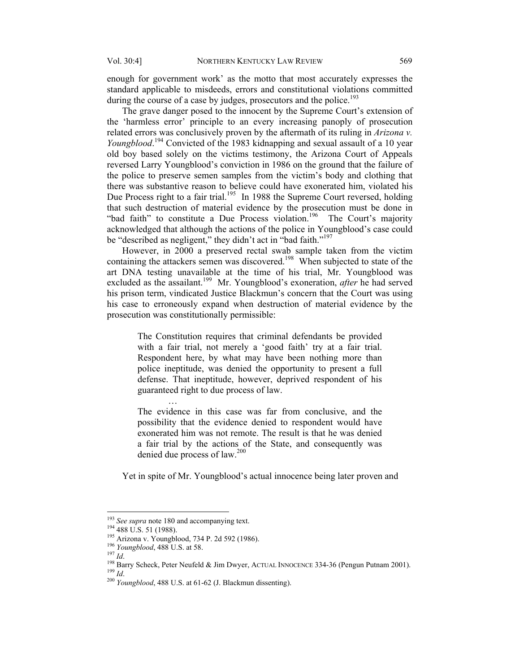enough for government work' as the motto that most accurately expresses the standard applicable to misdeeds, errors and constitutional violations committed during the course of a case by judges, prosecutors and the police.<sup>193</sup>

 The grave danger posed to the innocent by the Supreme Court's extension of the 'harmless error' principle to an every increasing panoply of prosecution related errors was conclusively proven by the aftermath of its ruling in *Arizona v. Youngblood*. 194 Convicted of the 1983 kidnapping and sexual assault of a 10 year old boy based solely on the victims testimony, the Arizona Court of Appeals reversed Larry Youngblood's conviction in 1986 on the ground that the failure of the police to preserve semen samples from the victim's body and clothing that there was substantive reason to believe could have exonerated him, violated his Due Process right to a fair trial.<sup>195</sup> In 1988 the Supreme Court reversed, holding that such destruction of material evidence by the prosecution must be done in "bad faith" to constitute a Due Process violation.<sup>196</sup> The Court's majority acknowledged that although the actions of the police in Youngblood's case could be "described as negligent," they didn't act in "bad faith."<sup>197</sup>

 However, in 2000 a preserved rectal swab sample taken from the victim containing the attackers semen was discovered.<sup>198</sup> When subjected to state of the art DNA testing unavailable at the time of his trial, Mr. Youngblood was excluded as the assailant.199 Mr. Youngblood's exoneration, *after* he had served his prison term, vindicated Justice Blackmun's concern that the Court was using his case to erroneously expand when destruction of material evidence by the prosecution was constitutionally permissible:

> The Constitution requires that criminal defendants be provided with a fair trial, not merely a 'good faith' try at a fair trial. Respondent here, by what may have been nothing more than police ineptitude, was denied the opportunity to present a full defense. That ineptitude, however, deprived respondent of his guaranteed right to due process of law.

> The evidence in this case was far from conclusive, and the possibility that the evidence denied to respondent would have exonerated him was not remote. The result is that he was denied a fair trial by the actions of the State, and consequently was denied due process of law.<sup>200</sup>

Yet in spite of Mr. Youngblood's actual innocence being later proven and

…

<sup>&</sup>lt;sup>193</sup> See supra note 180 and accompanying text.<br><sup>194</sup> 488 U.S. 51 (1988).<br><sup>195</sup> Arizona v. Youngblood, 734 P. 2d 592 (1986).<br><sup>196</sup> *Iomy Scheck, Peter Neufeld & Jim Dwyer, ACTUAL INNOCENCE* 334-36 (Pengun Putnam 2001).<br><sup>1</sup>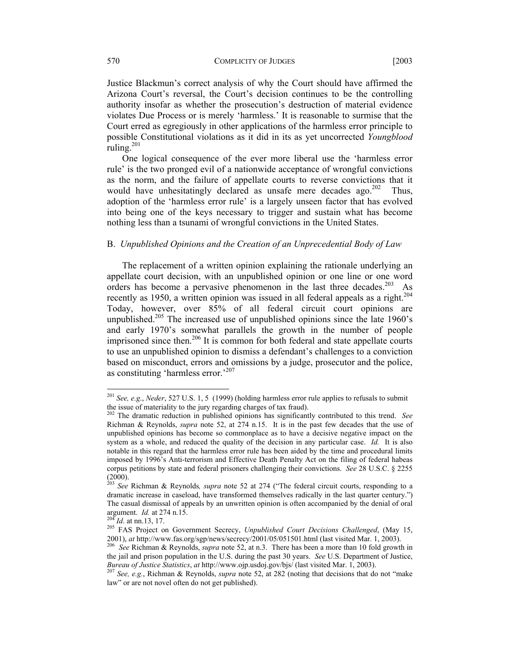Justice Blackmun's correct analysis of why the Court should have affirmed the Arizona Court's reversal, the Court's decision continues to be the controlling authority insofar as whether the prosecution's destruction of material evidence violates Due Process or is merely 'harmless.' It is reasonable to surmise that the Court erred as egregiously in other applications of the harmless error principle to possible Constitutional violations as it did in its as yet uncorrected *Youngblood* ruling. $^{201}$ 

One logical consequence of the ever more liberal use the 'harmless error rule' is the two pronged evil of a nationwide acceptance of wrongful convictions as the norm, and the failure of appellate courts to reverse convictions that it would have unhesitatingly declared as unsafe mere decades ago.<sup>202</sup> Thus, adoption of the 'harmless error rule' is a largely unseen factor that has evolved into being one of the keys necessary to trigger and sustain what has become nothing less than a tsunami of wrongful convictions in the United States.

#### B. *Unpublished Opinions and the Creation of an Unprecedential Body of Law*

The replacement of a written opinion explaining the rationale underlying an appellate court decision, with an unpublished opinion or one line or one word orders has become a pervasive phenomenon in the last three decades.<sup>203</sup> As recently as 1950, a written opinion was issued in all federal appeals as a right.<sup>204</sup> Today, however, over 85% of all federal circuit court opinions are unpublished.<sup>205</sup> The increased use of unpublished opinions since the late 1960's and early 1970's somewhat parallels the growth in the number of people imprisoned since then.<sup>206</sup> It is common for both federal and state appellate courts to use an unpublished opinion to dismiss a defendant's challenges to a conviction based on misconduct, errors and omissions by a judge, prosecutor and the police, as constituting 'harmless error.'<sup>207</sup>

<sup>201</sup> *See, e.g*., *Neder*, 527 U.S. 1, 5 (1999) (holding harmless error rule applies to refusals to submit the issue of materiality to the jury regarding charges of tax fraud).

<sup>202</sup> The dramatic reduction in published opinions has significantly contributed to this trend. *See*  Richman & Reynolds, *supra* note 52, at 274 n.15. It is in the past few decades that the use of unpublished opinions has become so commonplace as to have a decisive negative impact on the system as a whole, and reduced the quality of the decision in any particular case. *Id.* It is also notable in this regard that the harmless error rule has been aided by the time and procedural limits imposed by 1996's Anti-terrorism and Effective Death Penalty Act on the filing of federal habeas corpus petitions by state and federal prisoners challenging their convictions. *See* 28 U.S.C. § 2255 (2000).

<sup>203</sup> *See* Richman & Reynolds*, supra* note 52 at 274 ("The federal circuit courts, responding to a dramatic increase in caseload, have transformed themselves radically in the last quarter century.") The casual dismissal of appeals by an unwritten opinion is often accompanied by the denial of oral

argument. *Id.* at 274 n.15.<br>
<sup>204</sup> *Id.* at nn.13, 17.<br>
<sup>205</sup> FAS Project on Government Secrecy, *Unpublished Court Decisions Challenged*, (May 15,<br>
2001), *at* http://www.fas.org/sgp/news/secrecy/2001/05/051501.html (las

<sup>&</sup>lt;sup>206</sup> See Richman & Reynolds, *supra* note 52, at n.3. There has been a more than 10 fold growth in the jail and prison population in the U.S. during the past 30 years. *See* U.S. Department of Justice, *Bureau of Justice Statistics, at http://www.ojp.usdoj.gov/bjs/ (last visited Mar. 1, 2003).* 

*Bureau of Justice Statistics*, *at http://www.osjeurness.gov/differential* Comparations that do not "make  $207$  *See, e.g.*, Richman & Reynolds, *supra* note 52, at 282 (noting that decisions that do not "make law" or are not novel often do not get published).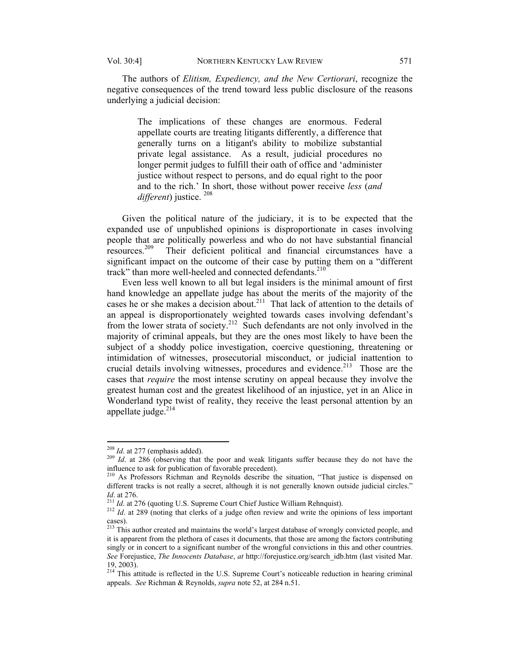The authors of *Elitism, Expediency, and the New Certiorari*, recognize the negative consequences of the trend toward less public disclosure of the reasons underlying a judicial decision:

The implications of these changes are enormous. Federal appellate courts are treating litigants differently, a difference that generally turns on a litigant's ability to mobilize substantial private legal assistance. As a result, judicial procedures no longer permit judges to fulfill their oath of office and 'administer justice without respect to persons, and do equal right to the poor and to the rich.' In short, those without power receive *less* (*and different*) justice. <sup>208</sup>

Given the political nature of the judiciary, it is to be expected that the expanded use of unpublished opinions is disproportionate in cases involving people that are politically powerless and who do not have substantial financial resources.209 Their deficient political and financial circumstances have a significant impact on the outcome of their case by putting them on a "different track" than more well-heeled and connected defendants.<sup>210</sup>

Even less well known to all but legal insiders is the minimal amount of first hand knowledge an appellate judge has about the merits of the majority of the cases he or she makes a decision about.<sup>211</sup> That lack of attention to the details of an appeal is disproportionately weighted towards cases involving defendant's from the lower strata of society.<sup>212</sup> Such defendants are not only involved in the majority of criminal appeals, but they are the ones most likely to have been the subject of a shoddy police investigation, coercive questioning, threatening or intimidation of witnesses, prosecutorial misconduct, or judicial inattention to crucial details involving witnesses, procedures and evidence.<sup>213</sup> Those are the cases that *require* the most intense scrutiny on appeal because they involve the greatest human cost and the greatest likelihood of an injustice, yet in an Alice in Wonderland type twist of reality, they receive the least personal attention by an appellate judge. $214$ 

 $^{208}$  *Id.* at 277 (emphasis added).

<sup>&</sup>lt;sup>209</sup> *Id.* at 286 (observing that the poor and weak litigants suffer because they do not have the influence to ask for publication of favorable precedent).<br><sup>210</sup> As Professors Richman and Reynolds describe the situation, "That justice is dispensed on

different tracks is not really a secret, although it is not generally known outside judicial circles." *Id.* at 276. 211 *Id.* at 276 (quoting U.S. Supreme Court Chief Justice William Rehnquist). <sup>212</sup> *Id.* at 289 (noting that clerks of a judge often review and write the opinions of less important

cases).

<sup>&</sup>lt;sup>213</sup> This author created and maintains the world's largest database of wrongly convicted people, and it is apparent from the plethora of cases it documents, that those are among the factors contributing singly or in concert to a significant number of the wrongful convictions in this and other countries. *See* Forejustice, *The Innocents Database*, *at* http://forejustice.org/search\_idb.htm (last visited Mar. 19, 2003).

<sup>&</sup>lt;sup>214</sup> This attitude is reflected in the U.S. Supreme Court's noticeable reduction in hearing criminal appeals. *See* Richman & Reynolds, *supra* note 52, at 284 n.51.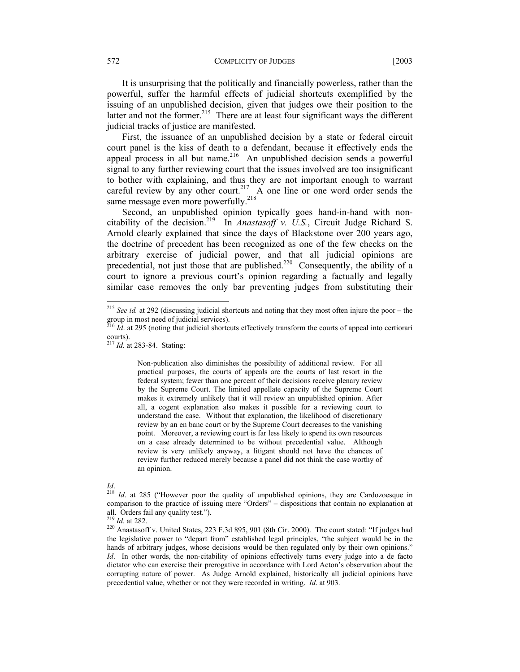572 COMPLICITY OF JUDGES [2003]

It is unsurprising that the politically and financially powerless, rather than the powerful, suffer the harmful effects of judicial shortcuts exemplified by the issuing of an unpublished decision, given that judges owe their position to the latter and not the former.<sup>215</sup> There are at least four significant ways the different judicial tracks of justice are manifested.

First, the issuance of an unpublished decision by a state or federal circuit court panel is the kiss of death to a defendant, because it effectively ends the appeal process in all but name.<sup>216</sup> An unpublished decision sends a powerful signal to any further reviewing court that the issues involved are too insignificant to bother with explaining, and thus they are not important enough to warrant careful review by any other court.<sup>217</sup> A one line or one word order sends the same message even more powerfully.<sup>218</sup>

Second, an unpublished opinion typically goes hand-in-hand with noncitability of the decision.219 In *Anastasoff v. U.S.*, Circuit Judge Richard S. Arnold clearly explained that since the days of Blackstone over 200 years ago, the doctrine of precedent has been recognized as one of the few checks on the arbitrary exercise of judicial power, and that all judicial opinions are precedential, not just those that are published.<sup>220</sup> Consequently, the ability of a court to ignore a previous court's opinion regarding a factually and legally similar case removes the only bar preventing judges from substituting their

Non-publication also diminishes the possibility of additional review. For all practical purposes, the courts of appeals are the courts of last resort in the federal system; fewer than one percent of their decisions receive plenary review by the Supreme Court. The limited appellate capacity of the Supreme Court makes it extremely unlikely that it will review an unpublished opinion. After all, a cogent explanation also makes it possible for a reviewing court to understand the case. Without that explanation, the likelihood of discretionary review by an en banc court or by the Supreme Court decreases to the vanishing point. Moreover, a reviewing court is far less likely to spend its own resources on a case already determined to be without precedential value. Although review is very unlikely anyway, a litigant should not have the chances of review further reduced merely because a panel did not think the case worthy of an opinion.

<sup>215</sup> *See id.* at 292 (discussing judicial shortcuts and noting that they most often injure the poor – the group in most need of judicial services).

 $^{216}$  *Id.* at 295 (noting that judicial shortcuts effectively transform the courts of appeal into certiorari courts).

<sup>217</sup> *Id.* at 283-84. Stating:

*Id.* <sup>218</sup> *Id.* at 285 ("However poor the quality of unpublished opinions, they are Cardozoesque in comparison to the practice of issuing mere "Orders" – dispositions that contain no explanation at all. Orders fail any quality test.").<br> $^{219}$  *Id.* at 282.

<sup>&</sup>lt;sup>220</sup> Anastasoff v. United States, 223 F.3d 895, 901 (8th Cir. 2000). The court stated: "If judges had the legislative power to "depart from" established legal principles, "the subject would be in the hands of arbitrary judges, whose decisions would be then regulated only by their own opinions." *Id*. In other words, the non-citability of opinions effectively turns every judge into a de facto dictator who can exercise their prerogative in accordance with Lord Acton's observation about the corrupting nature of power. As Judge Arnold explained, historically all judicial opinions have precedential value, whether or not they were recorded in writing. *Id*. at 903.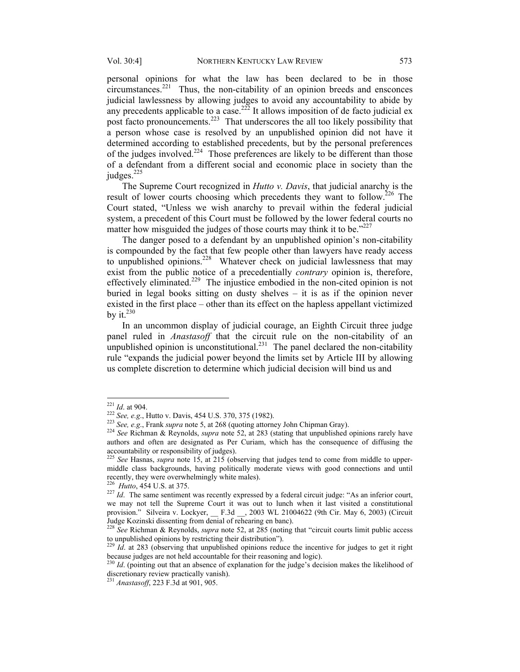personal opinions for what the law has been declared to be in those  $circumstances.<sup>221</sup>$  Thus, the non-citability of an opinion breeds and ensconces judicial lawlessness by allowing judges to avoid any accountability to abide by any precedents applicable to a case.<sup>222</sup> It allows imposition of de facto judicial ex post facto pronouncements.<sup>223</sup> That underscores the all too likely possibility that a person whose case is resolved by an unpublished opinion did not have it determined according to established precedents, but by the personal preferences of the judges involved.<sup>224</sup> Those preferences are likely to be different than those of a defendant from a different social and economic place in society than the judges. $225$ 

The Supreme Court recognized in *Hutto v. Davis*, that judicial anarchy is the result of lower courts choosing which precedents they want to follow.<sup>226</sup> The Court stated, "Unless we wish anarchy to prevail within the federal judicial system, a precedent of this Court must be followed by the lower federal courts no matter how misguided the judges of those courts may think it to be. $127$ 

The danger posed to a defendant by an unpublished opinion's non-citability is compounded by the fact that few people other than lawyers have ready access to unpublished opinions.<sup>228</sup> Whatever check on judicial lawlessness that may exist from the public notice of a precedentially *contrary* opinion is, therefore, effectively eliminated.229 The injustice embodied in the non-cited opinion is not buried in legal books sitting on dusty shelves – it is as if the opinion never existed in the first place – other than its effect on the hapless appellant victimized by it. $230$ 

In an uncommon display of judicial courage, an Eighth Circuit three judge panel ruled in *Anastasoff* that the circuit rule on the non-citability of an unpublished opinion is unconstitutional.<sup>231</sup> The panel declared the non-citability rule "expands the judicial power beyond the limits set by Article III by allowing us complete discretion to determine which judicial decision will bind us and

 $^{221}$  *Id.* at 904.

<sup>&</sup>lt;sup>222</sup> See, e.g., Hutto v. Davis, 454 U.S. 370, 375 (1982).<br><sup>223</sup> See, e.g., Frank *supra* note 5, at 268 (quoting attorney John Chipman Gray).<br><sup>224</sup> See Richman & Reynolds, *supra* note 52, at 283 (stating that unpublishe authors and often are designated as Per Curiam, which has the consequence of diffusing the

<sup>&</sup>lt;sup>225</sup> See Hasnas, *supra* note 15, at 215 (observing that judges tend to come from middle to uppermiddle class backgrounds, having politically moderate views with good connections and until recently, they were overwhelmingly white males).<br><sup>226</sup> *Hutto*, 454 U.S. at 375.

<sup>&</sup>lt;sup>227</sup> *Id*. The same sentiment was recently expressed by a federal circuit judge: "As an inferior court, we may not tell the Supreme Court it was out to lunch when it last visited a constitutional provision." Silveira v. Lockyer, \_\_ F.3d \_\_, 2003 WL 21004622 (9th Cir. May 6, 2003) (Circuit Judge Kozinski dissenting from denial of rehearing en banc).

See Richman & Reynolds, *supra* note 52, at 285 (noting that "circuit courts limit public access to unpublished opinions by restricting their distribution").

 $^{229}$  *Id.* at 283 (observing that unpublished opinions reduce the incentive for judges to get it right because judges are not held accountable for their reasoning and logic).

 $^{230}$  *Id*. (pointing out that an absence of explanation for the judge's decision makes the likelihood of discretionary review practically vanish).

<sup>&</sup>lt;sup>231</sup> Anastasoff, 223 F.3d at 901, 905.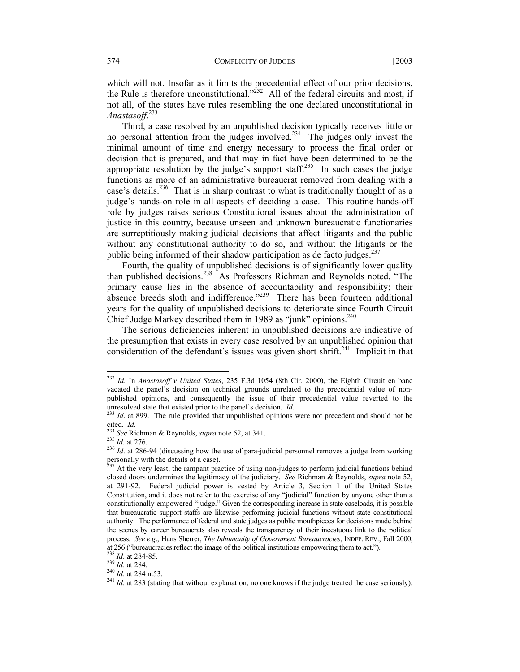which will not. Insofar as it limits the precedential effect of our prior decisions, the Rule is therefore unconstitutional.<sup> $222$ </sup> All of the federal circuits and most, if not all, of the states have rules resembling the one declared unconstitutional in *Anastasoff*. 233

Third, a case resolved by an unpublished decision typically receives little or no personal attention from the judges involved.<sup>234</sup> The judges only invest the minimal amount of time and energy necessary to process the final order or decision that is prepared, and that may in fact have been determined to be the appropriate resolution by the judge's support staff.<sup>235</sup> In such cases the judge functions as more of an administrative bureaucrat removed from dealing with a case's details.<sup>236</sup> That is in sharp contrast to what is traditionally thought of as a judge's hands-on role in all aspects of deciding a case. This routine hands-off role by judges raises serious Constitutional issues about the administration of justice in this country, because unseen and unknown bureaucratic functionaries are surreptitiously making judicial decisions that affect litigants and the public without any constitutional authority to do so, and without the litigants or the public being informed of their shadow participation as de facto judges. $237$ 

Fourth, the quality of unpublished decisions is of significantly lower quality than published decisions.<sup>238</sup> As Professors Richman and Reynolds noted, "The primary cause lies in the absence of accountability and responsibility; their absence breeds sloth and indifference."<sup>239</sup> There has been fourteen additional years for the quality of unpublished decisions to deteriorate since Fourth Circuit Chief Judge Markey described them in 1989 as "junk" opinions.<sup>240</sup>

The serious deficiencies inherent in unpublished decisions are indicative of the presumption that exists in every case resolved by an unpublished opinion that consideration of the defendant's issues was given short shrift.<sup>241</sup> Implicit in that

<sup>232</sup> *Id.* In *Anastasoff v United States*, 235 F.3d 1054 (8th Cir. 2000), the Eighth Circuit en banc vacated the panel's decision on technical grounds unrelated to the precedential value of nonpublished opinions, and consequently the issue of their precedential value reverted to the

unresolved state that existed prior to the panel's decision. *Id.* <sup>233</sup> *Id.* at 899. The rule provided that unpublished opinions were not precedent and should not be cited. *Id.* 

<sup>&</sup>lt;sup>234</sup> *See* Richman & Reynolds, *supra* note 52, at 341.<br><sup>235</sup> *Id.* at 276.<br><sup>236</sup> *Id.* at 286-94 (discussing how the use of para-judicial personnel removes a judge from working personally with the details of a case).

 $^{237}$  At the very least, the rampant practice of using non-judges to perform judicial functions behind closed doors undermines the legitimacy of the judiciary. *See* Richman & Reynolds, *supra* note 52, at 291-92. Federal judicial power is vested by Article 3, Section 1 of the United States Constitution, and it does not refer to the exercise of any "judicial" function by anyone other than a constitutionally empowered "judge." Given the corresponding increase in state caseloads, it is possible that bureaucratic support staffs are likewise performing judicial functions without state constitutional authority. The performance of federal and state judges as public mouthpieces for decisions made behind the scenes by career bureaucrats also reveals the transparency of their incestuous link to the political process. *See e.g*., Hans Sherrer, *The Inhumanity of Government Bureaucracies*, INDEP. REV., Fall 2000, at 256 ("bureaucracies reflect the image of the political institutions empowering them to act.").  $^{238}$  *Id.* at 284-85.

<sup>1</sup>*d*. at 284.<br><sup>239</sup> *Id.* at 284.<br><sup>240</sup> *Id.* at 284 n.53.<br><sup>241</sup> *Id.* at 283 (stating that without explanation, no one knows if the judge treated the case seriously).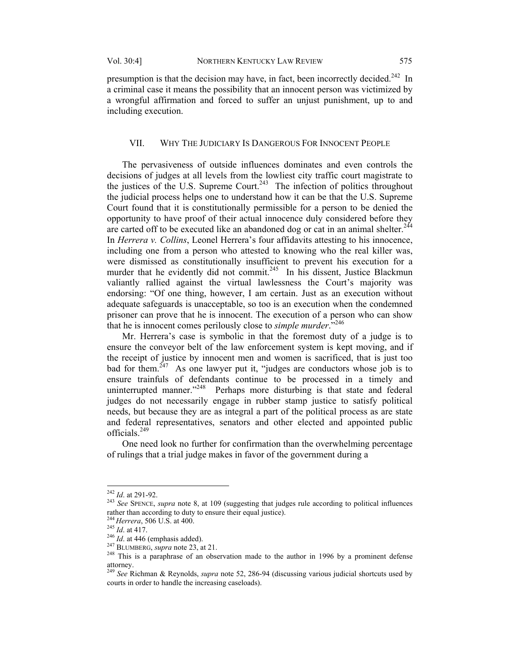presumption is that the decision may have, in fact, been incorrectly decided.<sup>242</sup> In a criminal case it means the possibility that an innocent person was victimized by a wrongful affirmation and forced to suffer an unjust punishment, up to and including execution.

#### VII. WHY THE JUDICIARY IS DANGEROUS FOR INNOCENT PEOPLE

The pervasiveness of outside influences dominates and even controls the decisions of judges at all levels from the lowliest city traffic court magistrate to the justices of the U.S. Supreme Court.<sup>243</sup> The infection of politics throughout the judicial process helps one to understand how it can be that the U.S. Supreme Court found that it is constitutionally permissible for a person to be denied the opportunity to have proof of their actual innocence duly considered before they are carted off to be executed like an abandoned dog or cat in an animal shelter.<sup>244</sup> In *Herrera v. Collins*, Leonel Herrera's four affidavits attesting to his innocence, including one from a person who attested to knowing who the real killer was, were dismissed as constitutionally insufficient to prevent his execution for a murder that he evidently did not commit.<sup>245</sup> In his dissent, Justice Blackmun valiantly rallied against the virtual lawlessness the Court's majority was endorsing: "Of one thing, however, I am certain. Just as an execution without adequate safeguards is unacceptable, so too is an execution when the condemned prisoner can prove that he is innocent. The execution of a person who can show that he is innocent comes perilously close to *simple murder*."246

Mr. Herrera's case is symbolic in that the foremost duty of a judge is to ensure the conveyor belt of the law enforcement system is kept moving, and if the receipt of justice by innocent men and women is sacrificed, that is just too bad for them.<sup> $247$ </sup> As one lawyer put it, "judges are conductors whose job is to ensure trainfuls of defendants continue to be processed in a timely and uninterrupted manner."<sup>248</sup> Perhaps more disturbing is that state and federal judges do not necessarily engage in rubber stamp justice to satisfy political needs, but because they are as integral a part of the political process as are state and federal representatives, senators and other elected and appointed public officials.<sup>249</sup>

One need look no further for confirmation than the overwhelming percentage of rulings that a trial judge makes in favor of the government during a

 $242$  *Id.* at 291-92.

<sup>&</sup>lt;sup>243</sup> *See* SPENCE, *supra* note 8, at 109 (suggesting that judges rule according to political influences rather than according to duty to ensure their equal justice).<br><sup>244</sup> Herrera, 506 U.S. at 400.

<sup>&</sup>lt;sup>245</sup> *Id.* at 417.<br>
<sup>245</sup> *Id.* at 417.<br>
<sup>246</sup> *Id.* at 446 (emphasis added).<br>
<sup>247</sup> BLUMBERG, *supra* note 23, at 21.<br>
<sup>248</sup> This is a paraphrase of an observation made to the author in 1996 by a prominent defense attorney.

<sup>249</sup> *See* Richman & Reynolds, *supra* note 52, 286-94 (discussing various judicial shortcuts used by courts in order to handle the increasing caseloads).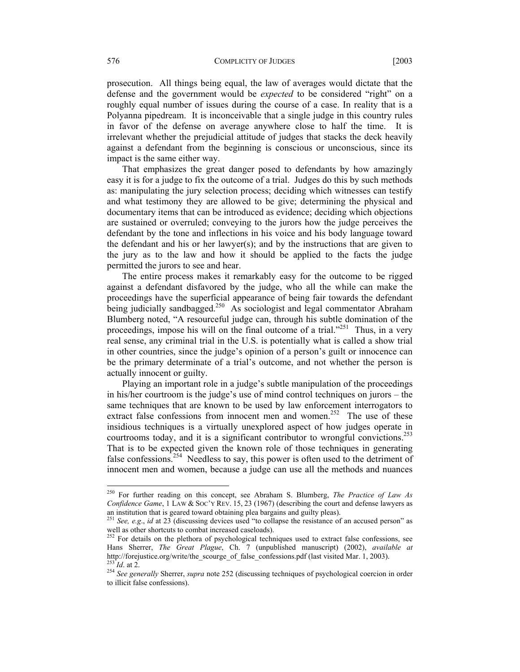prosecution. All things being equal, the law of averages would dictate that the defense and the government would be *expected* to be considered "right" on a roughly equal number of issues during the course of a case. In reality that is a Polyanna pipedream. It is inconceivable that a single judge in this country rules in favor of the defense on average anywhere close to half the time. It is irrelevant whether the prejudicial attitude of judges that stacks the deck heavily against a defendant from the beginning is conscious or unconscious, since its impact is the same either way.

That emphasizes the great danger posed to defendants by how amazingly easy it is for a judge to fix the outcome of a trial. Judges do this by such methods as: manipulating the jury selection process; deciding which witnesses can testify and what testimony they are allowed to be give; determining the physical and documentary items that can be introduced as evidence; deciding which objections are sustained or overruled; conveying to the jurors how the judge perceives the defendant by the tone and inflections in his voice and his body language toward the defendant and his or her lawyer(s); and by the instructions that are given to the jury as to the law and how it should be applied to the facts the judge permitted the jurors to see and hear.

The entire process makes it remarkably easy for the outcome to be rigged against a defendant disfavored by the judge, who all the while can make the proceedings have the superficial appearance of being fair towards the defendant being judicially sandbagged.<sup>250</sup> As sociologist and legal commentator Abraham Blumberg noted, "A resourceful judge can, through his subtle domination of the proceedings, impose his will on the final outcome of a trial."<sup>251</sup> Thus, in a very real sense, any criminal trial in the U.S. is potentially what is called a show trial in other countries, since the judge's opinion of a person's guilt or innocence can be the primary determinate of a trial's outcome, and not whether the person is actually innocent or guilty.

Playing an important role in a judge's subtle manipulation of the proceedings in his/her courtroom is the judge's use of mind control techniques on jurors – the same techniques that are known to be used by law enforcement interrogators to extract false confessions from innocent men and women.<sup>252</sup> The use of these insidious techniques is a virtually unexplored aspect of how judges operate in courtrooms today, and it is a significant contributor to wrongful convictions.<sup>253</sup> That is to be expected given the known role of those techniques in generating false confessions.<sup>254</sup> Needless to say, this power is often used to the detriment of innocent men and women, because a judge can use all the methods and nuances

<sup>250</sup> For further reading on this concept, see Abraham S. Blumberg, *The Practice of Law As Confidence Game*, 1 LAW & SOC'Y REV. 15, 23 (1967) (describing the court and defense lawyers as

an institution that is geared toward obtaining plea bargains and guilty pleas).<br><sup>251</sup> *See, e.g., id* at 23 (discussing devices used "to collapse the resistance of an accused person" as well as other shortcuts to combat increased caseloads).

 $252$  For details on the plethora of psychological techniques used to extract false confessions, see Hans Sherrer, *The Great Plague*, Ch. 7 (unpublished manuscript) (2002), *available at*

<sup>&</sup>lt;sup>253</sup>Id. at 2.<br><sup>254</sup> See generally Sherrer, *supra* note 252 (discussing techniques of psychological coercion in order to illicit false confessions).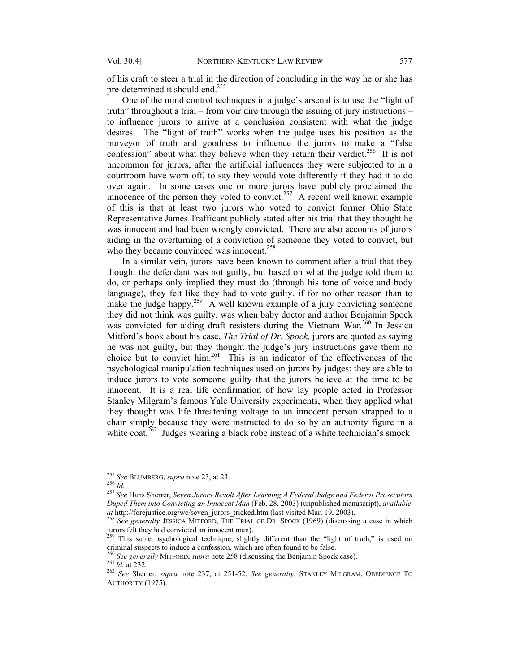of his craft to steer a trial in the direction of concluding in the way he or she has pre-determined it should end.<sup>255</sup>

One of the mind control techniques in a judge's arsenal is to use the "light of truth" throughout a trial – from voir dire through the issuing of jury instructions – to influence jurors to arrive at a conclusion consistent with what the judge desires. The "light of truth" works when the judge uses his position as the purveyor of truth and goodness to influence the jurors to make a "false confession" about what they believe when they return their verdict.<sup>256</sup> It is not uncommon for jurors, after the artificial influences they were subjected to in a courtroom have worn off, to say they would vote differently if they had it to do over again. In some cases one or more jurors have publicly proclaimed the innocence of the person they voted to convict.<sup>257</sup> A recent well known example of this is that at least two jurors who voted to convict former Ohio State Representative James Trafficant publicly stated after his trial that they thought he was innocent and had been wrongly convicted. There are also accounts of jurors aiding in the overturning of a conviction of someone they voted to convict, but who they became convinced was innocent.<sup>258</sup>

In a similar vein, jurors have been known to comment after a trial that they thought the defendant was not guilty, but based on what the judge told them to do, or perhaps only implied they must do (through his tone of voice and body language), they felt like they had to vote guilty, if for no other reason than to make the judge happy.<sup>259</sup> A well known example of a jury convicting someone they did not think was guilty, was when baby doctor and author Benjamin Spock was convicted for aiding draft resisters during the Vietnam War.<sup>260</sup> In Jessica Mitford's book about his case, *The Trial of Dr. Spock,* jurors are quoted as saying he was not guilty, but they thought the judge's jury instructions gave them no choice but to convict him.<sup>261</sup> This is an indicator of the effectiveness of the psychological manipulation techniques used on jurors by judges: they are able to induce jurors to vote someone guilty that the jurors believe at the time to be innocent. It is a real life confirmation of how lay people acted in Professor Stanley Milgram's famous Yale University experiments, when they applied what they thought was life threatening voltage to an innocent person strapped to a chair simply because they were instructed to do so by an authority figure in a white coat.<sup>262</sup> Judges wearing a black robe instead of a white technician's smock

<sup>&</sup>lt;sup>255</sup> See BLUMBERG, supra note 23, at 23.

<sup>&</sup>lt;sup>256</sup> *Id.* 257 *See* Hans Sherrer, *Seven Jurors Revolt After Learning A Federal Judge and Federal Prosecutors Duped Them into Convicting an Innocent Man* (Feb. 28, 2003) (unpublished manuscript), *available at* http://forejustice.org/wc/seven\_jurors\_tricked.htm (last visited Mar. 19, 2003). 258 *See generally* JESSICA MITFORD, THE TRIAL OF DR. SPOCK (1969) (discussing a case in which

jurors felt they had convicted an innocent man).

This same psychological technique, slightly different than the "light of truth," is used on

criminal suspects to induce a confession, which are often found to be false.<br><sup>260</sup> See generally MITFORD, *supra* note 258 (discussing the Benjamin Spock case).<br><sup>261</sup> Id. at 232.<br><sup>262</sup> See Sherrer, *supra* note 237, at 251 AUTHORITY (1975).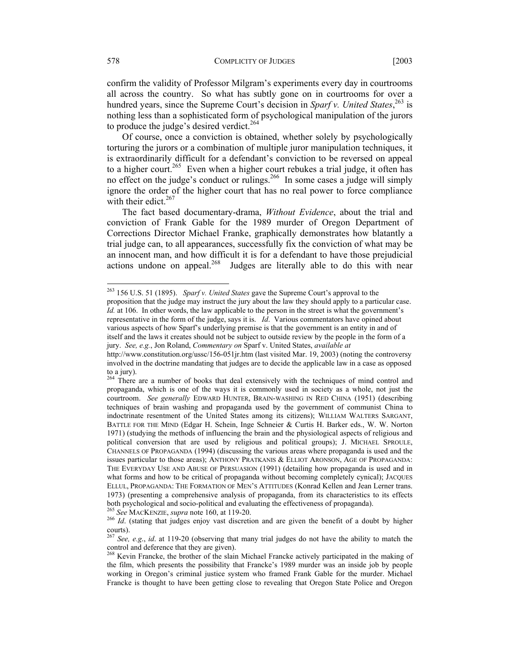confirm the validity of Professor Milgram's experiments every day in courtrooms all across the country. So what has subtly gone on in courtrooms for over a

hundred years, since the Supreme Court's decision in *Sparf v. United States*, 263 is nothing less than a sophisticated form of psychological manipulation of the jurors to produce the judge's desired verdict.<sup>264</sup>

Of course, once a conviction is obtained, whether solely by psychologically torturing the jurors or a combination of multiple juror manipulation techniques, it is extraordinarily difficult for a defendant's conviction to be reversed on appeal to a higher court.<sup>265</sup> Even when a higher court rebukes a trial judge, it often has no effect on the judge's conduct or rulings.<sup>266</sup> In some cases a judge will simply ignore the order of the higher court that has no real power to force compliance with their edict.<sup>267</sup>

The fact based documentary-drama, *Without Evidence*, about the trial and conviction of Frank Gable for the 1989 murder of Oregon Department of Corrections Director Michael Franke, graphically demonstrates how blatantly a trial judge can, to all appearances, successfully fix the conviction of what may be an innocent man, and how difficult it is for a defendant to have those prejudicial actions undone on appeal.<sup>268</sup> Judges are literally able to do this with near

<sup>263 156</sup> U.S. 51 (1895). *Sparf v. United States* gave the Supreme Court's approval to the

proposition that the judge may instruct the jury about the law they should apply to a particular case. *Id.* at 106. In other words, the law applicable to the person in the street is what the government's representative in the form of the judge, says it is. *Id*. Various commentators have opined about various aspects of how Sparf's underlying premise is that the government is an entity in and of itself and the laws it creates should not be subject to outside review by the people in the form of a jury. *See, e.g.*, Jon Roland, *Commentary on* Sparf v. United States, *available at* 

http://www.constitution.org/ussc/156-051jr.htm (last visited Mar. 19, 2003) (noting the controversy involved in the doctrine mandating that judges are to decide the applicable law in a case as opposed to a jury).

<sup>&</sup>lt;sup>264</sup> There are a number of books that deal extensively with the techniques of mind control and propaganda, which is one of the ways it is commonly used in society as a whole, not just the courtroom. *See generally* EDWARD HUNTER, BRAIN-WASHING IN RED CHINA (1951) (describing techniques of brain washing and propaganda used by the government of communist China to indoctrinate resentment of the United States among its citizens); WILLIAM WALTERS SARGANT, BATTLE FOR THE MIND (Edgar H. Schein, Inge Schneier & Curtis H. Barker eds., W. W. Norton 1971) (studying the methods of influencing the brain and the physiological aspects of religious and political conversion that are used by religious and political groups); J. MICHAEL SPROULE, CHANNELS OF PROPAGANDA (1994) (discussing the various areas where propaganda is used and the issues particular to those areas); ANTHONY PRATKANIS & ELLIOT ARONSON, AGE OF PROPAGANDA: THE EVERYDAY USE AND ABUSE OF PERSUASION (1991) (detailing how propaganda is used and in what forms and how to be critical of propaganda without becoming completely cynical); JACQUES ELLUL, PROPAGANDA: THE FORMATION OF MEN'S ATTITUDES (Konrad Kellen and Jean Lerner trans. 1973) (presenting a comprehensive analysis of propaganda, from its characteristics to its effects both psychological and socio-political and evaluating the effectiveness of propaganda).<br><sup>265</sup> See MACKENZIE, *supra* note 160, at 119-20.

<sup>&</sup>lt;sup>266</sup> *Id.* (stating that judges enjoy vast discretion and are given the benefit of a doubt by higher courts).

<sup>267</sup> *See, e.g*., *id*. at 119-20 (observing that many trial judges do not have the ability to match the control and deference that they are given).

<sup>&</sup>lt;sup>268</sup> Kevin Francke, the brother of the slain Michael Francke actively participated in the making of the film, which presents the possibility that Francke's 1989 murder was an inside job by people working in Oregon's criminal justice system who framed Frank Gable for the murder. Michael Francke is thought to have been getting close to revealing that Oregon State Police and Oregon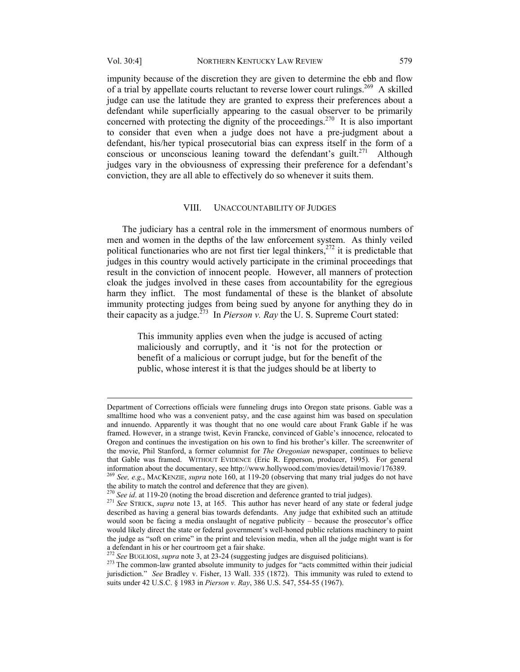impunity because of the discretion they are given to determine the ebb and flow of a trial by appellate courts reluctant to reverse lower court rulings.<sup>269</sup> A skilled judge can use the latitude they are granted to express their preferences about a defendant while superficially appearing to the casual observer to be primarily concerned with protecting the dignity of the proceedings.<sup>270</sup> It is also important to consider that even when a judge does not have a pre-judgment about a defendant, his/her typical prosecutorial bias can express itself in the form of a conscious or unconscious leaning toward the defendant's guilt.<sup>271</sup> Although judges vary in the obviousness of expressing their preference for a defendant's conviction, they are all able to effectively do so whenever it suits them.

#### VIII. UNACCOUNTABILITY OF JUDGES

The judiciary has a central role in the immersment of enormous numbers of men and women in the depths of the law enforcement system. As thinly veiled political functionaries who are not first tier legal thinkers,<sup>272</sup> it is predictable that judges in this country would actively participate in the criminal proceedings that result in the conviction of innocent people. However, all manners of protection cloak the judges involved in these cases from accountability for the egregious harm they inflict. The most fundamental of these is the blanket of absolute immunity protecting judges from being sued by anyone for anything they do in their capacity as a judge.<sup> $273$ </sup> In *Pierson v. Ray* the U.S. Supreme Court stated:

> This immunity applies even when the judge is accused of acting maliciously and corruptly, and it 'is not for the protection or benefit of a malicious or corrupt judge, but for the benefit of the public, whose interest it is that the judges should be at liberty to

Department of Corrections officials were funneling drugs into Oregon state prisons. Gable was a smalltime hood who was a convenient patsy, and the case against him was based on speculation and innuendo. Apparently it was thought that no one would care about Frank Gable if he was framed. However, in a strange twist, Kevin Francke, convinced of Gable's innocence, relocated to Oregon and continues the investigation on his own to find his brother's killer. The screenwriter of the movie, Phil Stanford, a former columnist for *The Oregonian* newspaper, continues to believe that Gable was framed. WITHOUT EVIDENCE (Eric R. Epperson, producer, 1995). For general

information about the documentary, see http://www.hollywood.com/movies/detail/movie/176389.<br><sup>269</sup> *See, e.g.*, MACKENZIE, *supra* note 160, at 119-20 (observing that many trial judges do not have the ability to match the c

<sup>&</sup>lt;sup>270</sup> See id. at 119-20 (noting the broad discretion and deference granted to trial judges).<br><sup>271</sup> See STRICK, *supra* note 13, at 165. This author has never heard of any state or federal judge described as having a general bias towards defendants. Any judge that exhibited such an attitude would soon be facing a media onslaught of negative publicity – because the prosecutor's office would likely direct the state or federal government's well-honed public relations machinery to paint the judge as "soft on crime" in the print and television media, when all the judge might want is for a defendant in his or her courtroom get a fair shake.<br> $272$  See BUGLIOSI, supra note 3, at 23-24 (suggesting judges are disguised politicians).

<sup>&</sup>lt;sup>273</sup> The common-law granted absolute immunity to judges for "acts committed within their judicial jurisdiction." *See* Bradley v. Fisher, 13 Wall. 335 (1872). This immunity was ruled to extend to suits under 42 U.S.C. § 1983 in *Pierson v. Ray*, 386 U.S. 547, 554-55 (1967).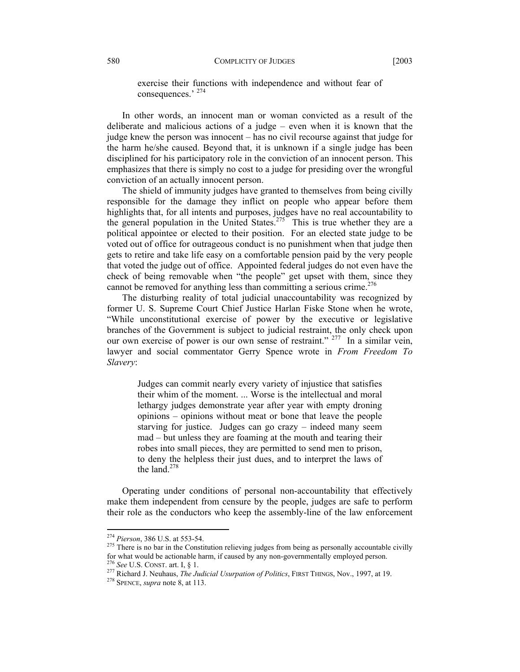exercise their functions with independence and without fear of consequences.' 274

In other words, an innocent man or woman convicted as a result of the deliberate and malicious actions of a judge – even when it is known that the judge knew the person was innocent – has no civil recourse against that judge for the harm he/she caused. Beyond that, it is unknown if a single judge has been disciplined for his participatory role in the conviction of an innocent person. This emphasizes that there is simply no cost to a judge for presiding over the wrongful conviction of an actually innocent person.

The shield of immunity judges have granted to themselves from being civilly responsible for the damage they inflict on people who appear before them highlights that, for all intents and purposes, judges have no real accountability to the general population in the United States.<sup>275</sup> This is true whether they are a political appointee or elected to their position. For an elected state judge to be voted out of office for outrageous conduct is no punishment when that judge then gets to retire and take life easy on a comfortable pension paid by the very people that voted the judge out of office. Appointed federal judges do not even have the check of being removable when "the people" get upset with them, since they cannot be removed for anything less than committing a serious crime.<sup>276</sup>

The disturbing reality of total judicial unaccountability was recognized by former U. S. Supreme Court Chief Justice Harlan Fiske Stone when he wrote, "While unconstitutional exercise of power by the executive or legislative branches of the Government is subject to judicial restraint, the only check upon our own exercise of power is our own sense of restraint."<sup>277</sup> In a similar vein, lawyer and social commentator Gerry Spence wrote in *From Freedom To Slavery*:

Judges can commit nearly every variety of injustice that satisfies their whim of the moment. ... Worse is the intellectual and moral lethargy judges demonstrate year after year with empty droning opinions – opinions without meat or bone that leave the people starving for justice. Judges can go crazy – indeed many seem mad – but unless they are foaming at the mouth and tearing their robes into small pieces, they are permitted to send men to prison, to deny the helpless their just dues, and to interpret the laws of the land. $278$ 

Operating under conditions of personal non-accountability that effectively make them independent from censure by the people, judges are safe to perform their role as the conductors who keep the assembly-line of the law enforcement

<sup>&</sup>lt;sup>274</sup> Pierson, 386 U.S. at 553-54.

<sup>&</sup>lt;sup>275</sup> There is no bar in the Constitution relieving judges from being as personally accountable civilly for what would be actionable harm, if caused by any non-governmentally employed person.

<sup>&</sup>lt;sup>276</sup> See U.S. CONST. art. I, § 1.<br><sup>277</sup> Richard J. Neuhaus, *The Judicial Usurpation of Politics*, FIRST THINGS, Nov., 1997, at 19.<br><sup>278</sup> SPENCE. *supra* note 8, at 113.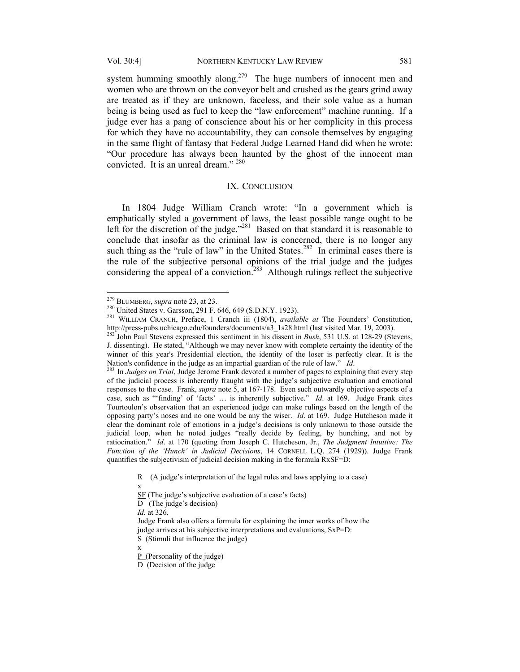system humming smoothly along.<sup>279</sup> The huge numbers of innocent men and women who are thrown on the conveyor belt and crushed as the gears grind away are treated as if they are unknown, faceless, and their sole value as a human being is being used as fuel to keep the "law enforcement" machine running. If a judge ever has a pang of conscience about his or her complicity in this process for which they have no accountability, they can console themselves by engaging in the same flight of fantasy that Federal Judge Learned Hand did when he wrote: "Our procedure has always been haunted by the ghost of the innocent man convicted. It is an unreal dream." 280

#### IX. CONCLUSION

 In 1804 Judge William Cranch wrote: "In a government which is emphatically styled a government of laws, the least possible range ought to be left for the discretion of the judge."<sup>281</sup> Based on that standard it is reasonable to conclude that insofar as the criminal law is concerned, there is no longer any such thing as the "rule of law" in the United States.<sup>282</sup> In criminal cases there is the rule of the subjective personal opinions of the trial judge and the judges considering the appeal of a conviction.<sup>283</sup> Although rulings reflect the subjective

 $\overline{a}$ 

*Id.* at 326.

x

x

<sup>&</sup>lt;sup>279</sup> BLUMBERG, *supra* note 23, at 23.<br><sup>280</sup> United States v. Garsson, 291 F. 646, 649 (S.D.N.Y. 1923).<br><sup>281</sup> WILLIAM CRANCH, Preface, 1 Cranch iii (1804), *available at* The Founders' Constitution, http://press-pubs.uchicago.edu/founders/documents/a3\_1s28.html (last visited Mar. 19, 2003). 282 John Paul Stevens expressed this sentiment in his dissent in *Bush*, 531 U.S. at 128-29 (Stevens,

J. dissenting). He stated, "Although we may never know with complete certainty the identity of the winner of this year's Presidential election, the identity of the loser is perfectly clear. It is the Nation's confidence in the judge as an impartial guardian of the rule of law."  $Id$ .

<sup>&</sup>lt;sup>283</sup> In Judges on Trial, Judge Jerome Frank devoted a number of pages to explaining that every step of the judicial process is inherently fraught with the judge's subjective evaluation and emotional responses to the case. Frank, *supra* note 5, at 167-178. Even such outwardly objective aspects of a case, such as "'finding' of 'facts' … is inherently subjective." *Id*. at 169. Judge Frank cites Tourtoulon's observation that an experienced judge can make rulings based on the length of the opposing party's noses and no one would be any the wiser. *Id*. at 169. Judge Hutcheson made it clear the dominant role of emotions in a judge's decisions is only unknown to those outside the judicial loop, when he noted judges "really decide by feeling, by hunching, and not by ratiocination." *Id*. at 170 (quoting from Joseph C. Hutcheson, Jr., *The Judgment Intuitive: The Function of the 'Hunch' in Judicial Decisions*, 14 CORNELL L.Q. 274 (1929)). Judge Frank quantifies the subjectivism of judicial decision making in the formula RxSF=D:

R (A judge's interpretation of the legal rules and laws applying to a case)

SF (The judge's subjective evaluation of a case's facts)

D (The judge's decision)

Judge Frank also offers a formula for explaining the inner works of how the judge arrives at his subjective interpretations and evaluations, SxP=D: S (Stimuli that influence the judge)

 $P$  (Personality of the judge)

D (Decision of the judge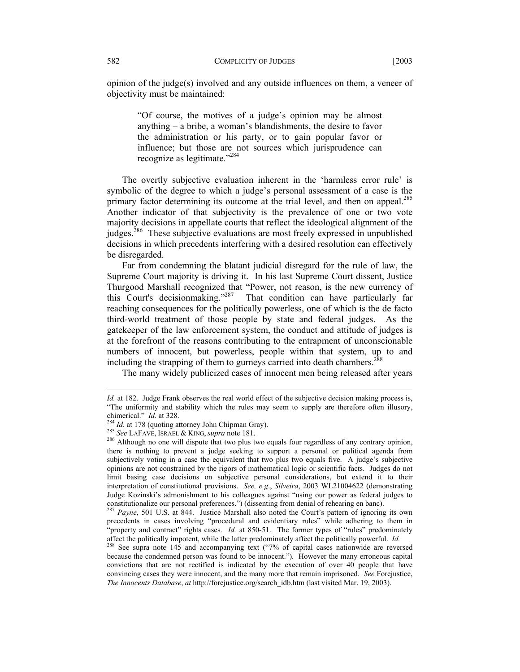opinion of the judge(s) involved and any outside influences on them, a veneer of objectivity must be maintained:

"Of course, the motives of a judge's opinion may be almost anything – a bribe, a woman's blandishments, the desire to favor the administration or his party, or to gain popular favor or influence; but those are not sources which jurisprudence can recognize as legitimate."<sup>284</sup>

The overtly subjective evaluation inherent in the 'harmless error rule' is symbolic of the degree to which a judge's personal assessment of a case is the primary factor determining its outcome at the trial level, and then on appeal.<sup>285</sup> Another indicator of that subjectivity is the prevalence of one or two vote majority decisions in appellate courts that reflect the ideological alignment of the judges.<sup>286</sup> These subjective evaluations are most freely expressed in unpublished decisions in which precedents interfering with a desired resolution can effectively be disregarded.

Far from condemning the blatant judicial disregard for the rule of law, the Supreme Court majority is driving it. In his last Supreme Court dissent, Justice Thurgood Marshall recognized that "Power, not reason, is the new currency of this Court's decisionmaking."287 That condition can have particularly far reaching consequences for the politically powerless, one of which is the de facto third-world treatment of those people by state and federal judges. As the gatekeeper of the law enforcement system, the conduct and attitude of judges is at the forefront of the reasons contributing to the entrapment of unconscionable numbers of innocent, but powerless, people within that system, up to and including the strapping of them to gurneys carried into death chambers.<sup>288</sup>

The many widely publicized cases of innocent men being released after years

*Id.* at 182. Judge Frank observes the real world effect of the subjective decision making process is, "The uniformity and stability which the rules may seem to supply are therefore often illusory, chimerical."  $Id$  at 328.

<sup>&</sup>lt;sup>284</sup> *Id.* at 178 (quoting attorney John Chipman Gray).<br><sup>285</sup> *See* LAFAVE, ISRAEL & KING, *supra* note 181.<br><sup>286</sup> Although no one will dispute that two plus two equals four regardless of any contrary opinion, there is nothing to prevent a judge seeking to support a personal or political agenda from subjectively voting in a case the equivalent that two plus two equals five. A judge's subjective opinions are not constrained by the rigors of mathematical logic or scientific facts. Judges do not limit basing case decisions on subjective personal considerations, but extend it to their interpretation of constitutional provisions. *See, e.g*., *Silveira*, 2003 WL21004622 (demonstrating Judge Kozinski's admonishment to his colleagues against "using our power as federal judges to constitutionalize our personal preferences.") (dissenting from denial of rehearing en banc).

<sup>287</sup> *Payne*, 501 U.S. at 844. Justice Marshall also noted the Court's pattern of ignoring its own precedents in cases involving "procedural and evidentiary rules" while adhering to them in "property and contract" rights cases. *Id.* at 850-51. The former types of "rules" predominately affect the politically impotent, while the latter predominately affect the politically powerful. *Id.* 

<sup>&</sup>lt;sup>288</sup> See supra note 145 and accompanying text ("7% of capital cases nationwide are reversed because the condemned person was found to be innocent."). However the many erroneous capital convictions that are not rectified is indicated by the execution of over 40 people that have convincing cases they were innocent, and the many more that remain imprisoned. *See* Forejustice, *The Innocents Database*, *at* http://forejustice.org/search\_idb.htm (last visited Mar. 19, 2003).